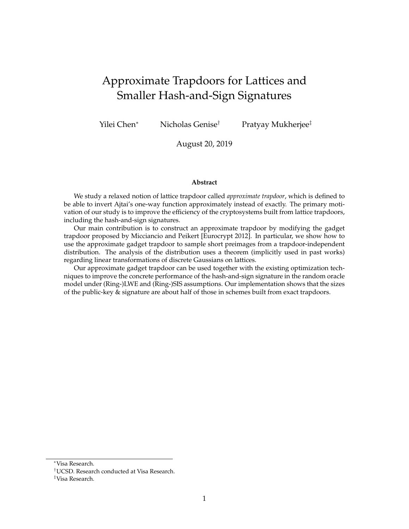# Approximate Trapdoors for Lattices and Smaller Hash-and-Sign Signatures

Yilei Chen<sup>∗</sup> Nicholas Genise† Pratyay Mukherjee‡

August 20, 2019

#### **Abstract**

We study a relaxed notion of lattice trapdoor called *approximate trapdoor*, which is defined to be able to invert Ajtai's one-way function approximately instead of exactly. The primary motivation of our study is to improve the efficiency of the cryptosystems built from lattice trapdoors, including the hash-and-sign signatures.

Our main contribution is to construct an approximate trapdoor by modifying the gadget trapdoor proposed by Micciancio and Peikert [Eurocrypt 2012]. In particular, we show how to use the approximate gadget trapdoor to sample short preimages from a trapdoor-independent distribution. The analysis of the distribution uses a theorem (implicitly used in past works) regarding linear transformations of discrete Gaussians on lattices.

Our approximate gadget trapdoor can be used together with the existing optimization techniques to improve the concrete performance of the hash-and-sign signature in the random oracle model under (Ring-)LWE and (Ring-)SIS assumptions. Our implementation shows that the sizes of the public-key & signature are about half of those in schemes built from exact trapdoors.

<sup>∗</sup>Visa Research.

<sup>†</sup>UCSD. Research conducted at Visa Research.

<sup>‡</sup>Visa Research.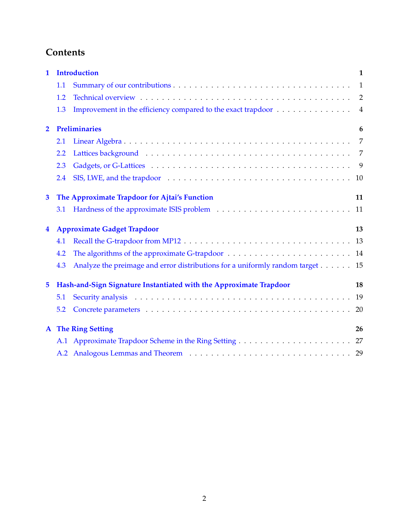# **Contents**

| $\mathbf 1$    | <b>Introduction</b><br>1 |                                                                                                                                                                                                                                |                |  |  |  |  |  |  |
|----------------|--------------------------|--------------------------------------------------------------------------------------------------------------------------------------------------------------------------------------------------------------------------------|----------------|--|--|--|--|--|--|
|                | 1.1                      |                                                                                                                                                                                                                                | 1              |  |  |  |  |  |  |
|                | 1.2                      |                                                                                                                                                                                                                                | 2              |  |  |  |  |  |  |
|                | 1.3                      | Improvement in the efficiency compared to the exact trapdoor                                                                                                                                                                   | $\overline{4}$ |  |  |  |  |  |  |
| $\overline{2}$ |                          | <b>Preliminaries</b>                                                                                                                                                                                                           | 6              |  |  |  |  |  |  |
|                | 2.1                      |                                                                                                                                                                                                                                | 7              |  |  |  |  |  |  |
|                | 2.2                      |                                                                                                                                                                                                                                | 7              |  |  |  |  |  |  |
|                | 2.3                      |                                                                                                                                                                                                                                |                |  |  |  |  |  |  |
|                | 2.4                      |                                                                                                                                                                                                                                | 10             |  |  |  |  |  |  |
| $\mathbf{3}$   |                          | The Approximate Trapdoor for Ajtai's Function                                                                                                                                                                                  | 11             |  |  |  |  |  |  |
|                | 3.1                      |                                                                                                                                                                                                                                | 11             |  |  |  |  |  |  |
| $\overline{4}$ |                          | <b>Approximate Gadget Trapdoor</b>                                                                                                                                                                                             | 13             |  |  |  |  |  |  |
|                | 4.1                      |                                                                                                                                                                                                                                |                |  |  |  |  |  |  |
|                | 4.2                      |                                                                                                                                                                                                                                |                |  |  |  |  |  |  |
|                | 4.3                      | Analyze the preimage and error distributions for a uniformly random target 15                                                                                                                                                  |                |  |  |  |  |  |  |
| 5              |                          | Hash-and-Sign Signature Instantiated with the Approximate Trapdoor                                                                                                                                                             | 18             |  |  |  |  |  |  |
|                | 5.1                      |                                                                                                                                                                                                                                | 19             |  |  |  |  |  |  |
|                | 5.2                      |                                                                                                                                                                                                                                | 20             |  |  |  |  |  |  |
|                |                          | <b>A</b> The Ring Setting                                                                                                                                                                                                      | 26             |  |  |  |  |  |  |
|                |                          |                                                                                                                                                                                                                                |                |  |  |  |  |  |  |
|                |                          | A.2 Analogous Lemmas and Theorem (1) All Alexander Analogous Commas and Theorem (1) Alexander Alexander Analogous Lemmas and Theorem (1) Alexander Alexander Alexander Alexander Alexander Alexander Alexander Alexander Alexa |                |  |  |  |  |  |  |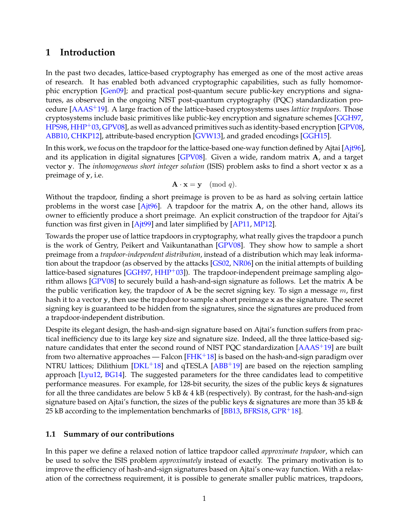## <span id="page-2-0"></span>**1 Introduction**

In the past two decades, lattice-based cryptography has emerged as one of the most active areas of research. It has enabled both advanced cryptographic capabilities, such as fully homomorphic encryption [\[Gen09\]](#page-25-0); and practical post-quantum secure public-key encryptions and signatures, as observed in the ongoing NIST post-quantum cryptography (PQC) standardization procedure [\[AAAS](#page-23-0)+19]. A large fraction of the lattice-based cryptosystems uses *lattice trapdoors*. Those cryptosystems include basic primitives like public-key encryption and signature schemes [\[GGH97,](#page-26-0) [HPS98,](#page-26-1) [HHP](#page-26-2)+03, [GPV08\]](#page-26-3), as well as advanced primitives such as identity-based encryption  $\left[GPV08, \right]$  $\left[GPV08, \right]$  $\left[GPV08, \right]$ [ABB10,](#page-23-1) [CHKP12\]](#page-25-1), attribute-based encryption [\[GVW13\]](#page-26-4), and graded encodings [\[GGH15\]](#page-26-5).

In this work, we focus on the trapdoor for the lattice-based one-way function defined by Ajtai [\[Ajt96\]](#page-24-0), and its application in digital signatures [\[GPV08\]](#page-26-3). Given a wide, random matrix A, and a target vector y. The *inhomogeneous short integer solution* (ISIS) problem asks to find a short vector x as a preimage of y, i.e.

$$
\mathbf{A} \cdot \mathbf{x} = \mathbf{y} \pmod{q}.
$$

Without the trapdoor, finding a short preimage is proven to be as hard as solving certain lattice problems in the worst case  $[A]$ t $[4]$ <sup>6</sup> $[6]$ . A trapdoor for the matrix  $A$ , on the other hand, allows its owner to efficiently produce a short preimage. An explicit construction of the trapdoor for Ajtai's function was first given in  $[A]$  and later simplified by  $[AP11, MP12]$  $[AP11, MP12]$  $[AP11, MP12]$ .

Towards the proper use of lattice trapdoors in cryptography, what really gives the trapdoor a punch is the work of Gentry, Peikert and Vaikuntanathan [\[GPV08\]](#page-26-3). They show how to sample a short preimage from a *trapdoor-independent distribution*, instead of a distribution which may leak information about the trapdoor (as observed by the attacks [\[GS02,](#page-26-6) [NR06\]](#page-27-2) on the initial attempts of building lattice-based signatures [\[GGH97,](#page-26-0) [HHP](#page-26-2)+03]). The trapdoor-independent preimage sampling algorithm allows [\[GPV08\]](#page-26-3) to securely build a hash-and-sign signature as follows. Let the matrix A be the public verification key, the trapdoor of A be the secret signing key. To sign a message  $m$ , first hash it to a vector y, then use the trapdoor to sample a short preimage x as the signature. The secret signing key is guaranteed to be hidden from the signatures, since the signatures are produced from a trapdoor-independent distribution.

Despite its elegant design, the hash-and-sign signature based on Ajtai's function suffers from practical inefficiency due to its large key size and signature size. Indeed, all the three lattice-based signature candidates that enter the second round of NIST PQC standardization [\[AAAS](#page-23-0)+19] are built from two alternative approaches — Falcon  $[FHK^+18]$  $[FHK^+18]$  is based on the hash-and-sign paradigm over NTRU lattices; Dilithium  $[DKL+18]$  $[DKL+18]$  and  $qTESLA$   $[ABB+19]$  $[ABB+19]$  are based on the rejection sampling approach [\[Lyu12,](#page-27-3) [BG14\]](#page-24-3). The suggested parameters for the three candidates lead to competitive performance measures. For example, for 128-bit security, the sizes of the public keys & signatures for all the three candidates are below  $5$  kB  $\&$  4 kB (respectively). By contrast, for the hash-and-sign signature based on Ajtai's function, the sizes of the public keys  $\&$  signatures are more than 35 kB  $\&$ 25 kB according to the implementation benchmarks of  $[BB13, BFRS18, GPR+18]$  $[BB13, BFRS18, GPR+18]$  $[BB13, BFRS18, GPR+18]$  $[BB13, BFRS18, GPR+18]$  $[BB13, BFRS18, GPR+18]$  $[BB13, BFRS18, GPR+18]$ .

#### <span id="page-2-1"></span>**1.1 Summary of our contributions**

In this paper we define a relaxed notion of lattice trapdoor called *approximate trapdoor*, which can be used to solve the ISIS problem *approximately* instead of exactly. The primary motivation is to improve the efficiency of hash-and-sign signatures based on Ajtai's one-way function. With a relaxation of the correctness requirement, it is possible to generate smaller public matrices, trapdoors,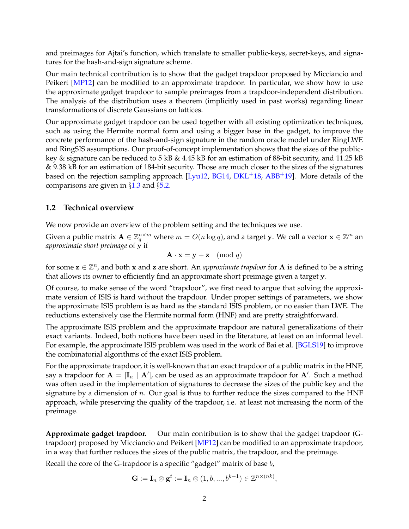and preimages for Ajtai's function, which translate to smaller public-keys, secret-keys, and signatures for the hash-and-sign signature scheme.

Our main technical contribution is to show that the gadget trapdoor proposed by Micciancio and Peikert [\[MP12\]](#page-27-1) can be modified to an approximate trapdoor. In particular, we show how to use the approximate gadget trapdoor to sample preimages from a trapdoor-independent distribution. The analysis of the distribution uses a theorem (implicitly used in past works) regarding linear transformations of discrete Gaussians on lattices.

Our approximate gadget trapdoor can be used together with all existing optimization techniques, such as using the Hermite normal form and using a bigger base in the gadget, to improve the concrete performance of the hash-and-sign signature in the random oracle model under RingLWE and RingSIS assumptions. Our proof-of-concept implementation shows that the sizes of the publickey & signature can be reduced to 5 kB & 4.45 kB for an estimation of 88-bit security, and 11.25 kB & 9.38 kB for an estimation of 184-bit security. Those are much closer to the sizes of the signatures based on the rejection sampling approach [\[Lyu12,](#page-27-3) [BG14,](#page-24-3) [DKL](#page-25-3)<sup>+</sup>18, [ABB](#page-23-2)<sup>+</sup>19]. More details of the comparisons are given in  $\S1.3$  $\S1.3$  and  $\S5.2$ .

### <span id="page-3-0"></span>**1.2 Technical overview**

We now provide an overview of the problem setting and the techniques we use.

Given a public matrix  $\mathbf{A}\in \mathbb{Z}_q^{n\times m}$  where  $m=O(n\log q)$ , and a target y. We call a vector  $\mathbf{x}\in\mathbb{Z}^m$  an *approximate short preimage* of y if

$$
\mathbf{A} \cdot \mathbf{x} = \mathbf{y} + \mathbf{z} \pmod{q}
$$

for some  $\mathbf{z} \in \mathbb{Z}^n$ , and both x and z are short. An *approximate trapdoor* for **A** is defined to be a string that allows its owner to efficiently find an approximate short preimage given a target y.

Of course, to make sense of the word "trapdoor", we first need to argue that solving the approximate version of ISIS is hard without the trapdoor. Under proper settings of parameters, we show the approximate ISIS problem is as hard as the standard ISIS problem, or no easier than LWE. The reductions extensively use the Hermite normal form (HNF) and are pretty straightforward.

The approximate ISIS problem and the approximate trapdoor are natural generalizations of their exact variants. Indeed, both notions have been used in the literature, at least on an informal level. For example, the approximate ISIS problem was used in the work of Bai et al. [\[BGLS19\]](#page-24-6) to improve the combinatorial algorithms of the exact ISIS problem.

For the approximate trapdoor, it is well-known that an exact trapdoor of a public matrix in the HNF, say a trapdoor for  $A = [\mathbf{I}_n \mid \mathbf{A}']$ , can be used as an approximate trapdoor for  $\mathbf{A}'$ . Such a method was often used in the implementation of signatures to decrease the sizes of the public key and the signature by a dimension of  $n$ . Our goal is thus to further reduce the sizes compared to the HNF approach, while preserving the quality of the trapdoor, i.e. at least not increasing the norm of the preimage.

**Approximate gadget trapdoor.** Our main contribution is to show that the gadget trapdoor (G-trapdoor) proposed by Micciancio and Peikert [\[MP12\]](#page-27-1) can be modified to an approximate trapdoor, in a way that further reduces the sizes of the public matrix, the trapdoor, and the preimage.

Recall the core of the G-trapdoor is a specific "gadget" matrix of base *b*,

$$
\mathbf{G}:=\mathbf{I}_n\otimes \mathbf{g}^t:=\mathbf{I}_n\otimes (1,b,...,b^{k-1})\in \mathbb{Z}^{n\times (nk)},
$$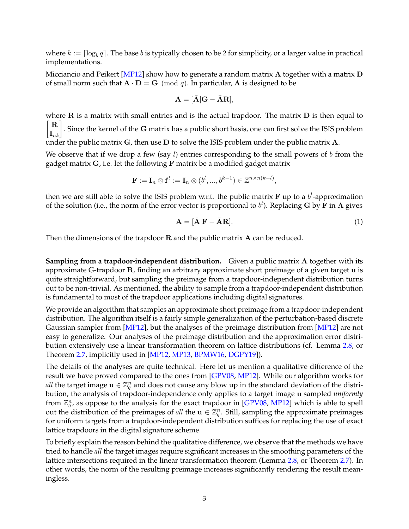where  $k := \lceil \log_b{q} \rceil.$  The base  $b$  is typically chosen to be  $2$  for simplicity, or a larger value in practical implementations.

Micciancio and Peikert [\[MP12\]](#page-27-1) show how to generate a random matrix **A** together with a matrix **D** of small norm such that  $\mathbf{A} \cdot \mathbf{D} = \mathbf{G} \pmod{q}$ . In particular, A is designed to be

$$
\mathbf{A} = [\bar{\mathbf{A}}] \mathbf{G} - \bar{\mathbf{A}} \mathbf{R}],
$$

where  $\bf{R}$  is a matrix with small entries and is the actual trapdoor. The matrix  $\bf{D}$  is then equal to  $\begin{bmatrix} \mathbf{R} \\ \mathbf{I}_{nk} \end{bmatrix}$ . Since the kernel of the G matrix has a public short basis, one can first solve the ISIS problem under the public matrix  $G$ , then use  $D$  to solve the ISIS problem under the public matrix  $A$ .

We observe that if we drop a few (say  $l$ ) entries corresponding to the small powers of  $b$  from the gadget matrix  $G$ , i.e. let the following  $F$  matrix be a modified gadget matrix

$$
\mathbf{F} := \mathbf{I}_n \otimes \mathbf{f}^t := \mathbf{I}_n \otimes (b^l, ..., b^{k-1}) \in \mathbb{Z}^{n \times n(k-l)},
$$

then we are still able to solve the ISIS problem w.r.t. the public matrix  $\bf{F}$  up to a  $b^l$ -approximation of the solution (i.e., the norm of the error vector is proportional to  $b^l$ ). Replacing G by F in A gives

<span id="page-4-0"></span>
$$
\mathbf{A} = [\bar{\mathbf{A}}|\mathbf{F} - \bar{\mathbf{A}}\mathbf{R}]. \tag{1}
$$

Then the dimensions of the trapdoor  $R$  and the public matrix  $A$  can be reduced.

**Sampling from a trapdoor-independent distribution.** Given a public matrix A together with its approximate G-trapdoor R, finding an arbitrary approximate short preimage of a given target u is quite straightforward, but sampling the preimage from a trapdoor-independent distribution turns out to be non-trivial. As mentioned, the ability to sample from a trapdoor-independent distribution is fundamental to most of the trapdoor applications including digital signatures.

We provide an algorithm that samples an approximate short preimage from a trapdoor-independent distribution. The algorithm itself is a fairly simple generalization of the perturbation-based discrete Gaussian sampler from [\[MP12\]](#page-27-1), but the analyses of the preimage distribution from [\[MP12\]](#page-27-1) are not easy to generalize. Our analyses of the preimage distribution and the approximation error distribution extensively use a linear transformation theorem on lattice distributions (cf. Lemma [2.8,](#page-10-1) or Theorem [2.7,](#page-10-2) implicitly used in [\[MP12,](#page-27-1) [MP13,](#page-27-4) [BPMW16,](#page-24-7) [DGPY19\]](#page-25-4)).

The details of the analyses are quite technical. Here let us mention a qualitative difference of the result we have proved compared to the ones from [\[GPV08,](#page-26-3) [MP12\]](#page-27-1). While our algorithm works for *all* the target image  $\mathbf{u} \in \mathbb{Z}_q^n$  and does not cause any blow up in the standard deviation of the distribution, the analysis of trapdoor-independence only applies to a target image u sampled *uniformly* from  $\mathbb{Z}_q^n$ , as oppose to the analysis for the exact trapdoor in [\[GPV08,](#page-26-3) [MP12\]](#page-27-1) which is able to spell out the distribution of the preimages of *all* the  $\mathbf{u} \in \mathbb{Z}_q^n$ . Still, sampling the approximate preimages for uniform targets from a trapdoor-independent distribution suffices for replacing the use of exact lattice trapdoors in the digital signature scheme.

To briefly explain the reason behind the qualitative difference, we observe that the methods we have tried to handle *all* the target images require significant increases in the smoothing parameters of the lattice intersections required in the linear transformation theorem (Lemma [2.8,](#page-10-1) or Theorem [2.7\)](#page-10-2). In other words, the norm of the resulting preimage increases significantly rendering the result meaningless.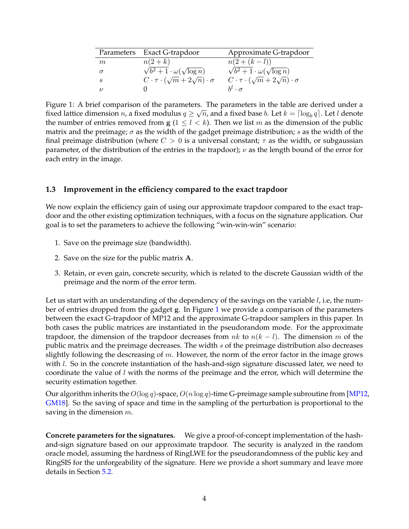|          | Parameters Exact G-trapdoor                              | Approximate G-trapdoor                                   |
|----------|----------------------------------------------------------|----------------------------------------------------------|
| m        | $n(2+k)$                                                 | $n(2+(k-l))$                                             |
| $\sigma$ | $\sqrt{b^2+1\cdot\omega(\sqrt{\log n})}$                 | $\sqrt{b^2+1} \cdot \omega(\sqrt{\log n})$               |
| S        | $C \cdot \tau \cdot (\sqrt{m} + 2\sqrt{n}) \cdot \sigma$ | $C \cdot \tau \cdot (\sqrt{m} + 2\sqrt{n}) \cdot \sigma$ |
| $\nu$    |                                                          | $h^{l} \cdot \sigma$                                     |

<span id="page-5-1"></span>Figure 1: A brief comparison of the parameters. The parameters in the table are derived under a contract of the material and the state of the state of the state of the state of the state of the state of the state of the s fixed lattice dimension  $n$ , a fixed modulus  $q \geq \sqrt{n}$ , and a fixed base  $b$ . Let  $k = \lceil \log_b q \rceil$ . Let  $l$  denote the number of entries removed from  $g (1 \leq l \leq k)$ . Then we list m as the dimension of the public matrix and the preimage;  $\sigma$  as the width of the gadget preimage distribution;  $s$  as the width of the final preimage distribution (where  $C > 0$  is a universal constant;  $\tau$  as the width, or subgaussian parameter, of the distribution of the entries in the trapdoor);  $\nu$  as the length bound of the error for each entry in the image.

### <span id="page-5-0"></span>**1.3 Improvement in the efficiency compared to the exact trapdoor**

We now explain the efficiency gain of using our approximate trapdoor compared to the exact trapdoor and the other existing optimization techniques, with a focus on the signature application. Our goal is to set the parameters to achieve the following "win-win-win" scenario:

- 1. Save on the preimage size (bandwidth).
- 2. Save on the size for the public matrix A.
- 3. Retain, or even gain, concrete security, which is related to the discrete Gaussian width of the preimage and the norm of the error term.

Let us start with an understanding of the dependency of the savings on the variable  $l$ , i.e, the number of entries dropped from the gadget g. In Figure [1](#page-5-1) we provide a comparison of the parameters between the exact G-trapdoor of MP12 and the approximate G-trapdoor samplers in this paper. In both cases the public matrices are instantiated in the pseudorandom mode. For the approximate trapdoor, the dimension of the trapdoor decreases from nk to  $n(k - l)$ . The dimension m of the public matrix and the preimage decreases. The width  $s$  of the preimage distribution also decreases slightly following the descreasing of  $m$ . However, the norm of the error factor in the image grows with  $l$ . So in the concrete instantiation of the hash-and-sign signature discussed later, we need to coordinate the value of  $l$  with the norms of the preimage and the error, which will determine the security estimation together.

Our algorithm inherits the  $O(\log q)$ -space,  $O(n \log q)$ -time G-preimage sample subroutine from [\[MP12,](#page-27-1) [GM18\]](#page-26-8). So the saving of space and time in the sampling of the perturbation is proportional to the saving in the dimension  $m$ .

**Concrete parameters for the signatures.** We give a proof-of-concept implementation of the hashand-sign signature based on our approximate trapdoor. The security is analyzed in the random oracle model, assuming the hardness of RingLWE for the pseudorandomness of the public key and RingSIS for the unforgeability of the signature. Here we provide a short summary and leave more details in Section [5.2.](#page-21-0)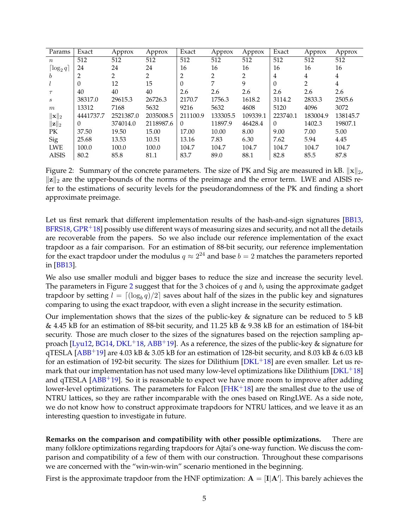| Params                   | Exact     | Approx    | Approx    | Exact    | Approx         | Approx   | Exact          | Approx   | Approx   |
|--------------------------|-----------|-----------|-----------|----------|----------------|----------|----------------|----------|----------|
| $\boldsymbol{n}$         | 512       | 512       | 512       | 512      | 512            | 512      | 512            | 512      | 512      |
| $\lceil \log_2 q \rceil$ | 24        | 24        | 24        | 16       | 16             | 16       | 16             | 16       | 16       |
| b                        | 2         | 2         | 2         | 2        | $\overline{2}$ | 2        | $\overline{4}$ | 4        | 4        |
|                          | $\Omega$  | 12        | 15        | $\theta$ | 7              | 9        | $\theta$       | 2        | 4        |
| $\tau$                   | 40        | 40        | 40        | 2.6      | 2.6            | 2.6      | 2.6            | 2.6      | 2.6      |
| $\boldsymbol{s}$         | 38317.0   | 29615.3   | 26726.3   | 2170.7   | 1756.3         | 1618.2   | 3114.2         | 2833.3   | 2505.6   |
| m                        | 13312     | 7168      | 5632      | 9216     | 5632           | 4608     | 5120           | 4096     | 3072     |
| $\ \mathbf{x}\ _2$       | 4441737.7 | 2521387.0 | 2035008.5 | 211100.9 | 133305.5       | 109339.1 | 223740.1       | 183004.9 | 138145.7 |
| $\ \mathbf{z}\ _2$       | $\Omega$  | 374014.0  | 2118987.6 | $\Omega$ | 11897.9        | 46428.4  | $\Omega$       | 1402.3   | 19807.1  |
| PК                       | 37.50     | 19.50     | 15.00     | 17.00    | 10.00          | 8.00     | 9.00           | 7.00     | 5.00     |
| Sig                      | 25.68     | 13.53     | 10.51     | 13.16    | 7.83           | 6.30     | 7.62           | 5.94     | 4.45     |
| <b>LWE</b>               | 100.0     | 100.0     | 100.0     | 104.7    | 104.7          | 104.7    | 104.7          | 104.7    | 104.7    |
| <b>AISIS</b>             | 80.2      | 85.8      | 81.1      | 83.7     | 89.0           | 88.1     | 82.8           | 85.5     | 87.8     |

<span id="page-6-0"></span>Figure 2: Summary of the concrete parameters. The size of PK and Sig are measured in kB.  $\|\mathbf{x}\|_2$ ,  $\|z\|_2$  are the upper-bounds of the norms of the preimage and the error term. LWE and AISIS refer to the estimations of security levels for the pseudorandomness of the PK and finding a short approximate preimage.

Let us first remark that different implementation results of the hash-and-sign signatures [\[BB13,](#page-24-4) [BFRS18,](#page-24-5)  $GPR+18$  $GPR+18$ ] possibly use different ways of measuring sizes and security, and not all the details are recoverable from the papers. So we also include our reference implementation of the exact trapdoor as a fair comparison. For an estimation of 88-bit security, our reference implementation for the exact trapdoor under the modulus  $q\approx 2^{24}$  and base  $b=2$  matches the parameters reported in [\[BB13\]](#page-24-4).

We also use smaller moduli and bigger bases to reduce the size and increase the security level. The parameters in Figure [2](#page-6-0) suggest that for the 3 choices of  $q$  and  $b$ , using the approximate gadget trapdoor by setting  $l = \lceil (\log_b q)/2 \rceil$  saves about half of the sizes in the public key and signatures comparing to using the exact trapdoor, with even a slight increase in the security estimation.

Our implementation shows that the sizes of the public-key  $\&$  signature can be reduced to 5 kB & 4.45 kB for an estimation of 88-bit security, and 11.25 kB & 9.38 kB for an estimation of 184-bit security. Those are much closer to the sizes of the signatures based on the rejection sampling ap-proach [\[Lyu12,](#page-27-3) [BG14,](#page-24-3) [DKL](#page-25-3)<sup>+</sup>18, [ABB](#page-23-2)<sup>+</sup>19]. As a reference, the sizes of the public-key & signature for qTESLA [\[ABB](#page-23-2)<sup>+</sup>19] are 4.03 kB & 3.05 kB for an estimation of 128-bit security, and 8.03 kB & 6.03 kB for an estimation of 192-bit security. The sizes for Dilithium  $[DKL+18]$  $[DKL+18]$  are even smaller. Let us remark that our implementation has not used many low-level optimizations like Dilithium [ $DKL+18$ ] and qTESLA  $[ABB^+19]$  $[ABB^+19]$ . So it is reasonable to expect we have more room to improve after adding lower-level optimizations. The parameters for Falcon  $[FHK+18]$  $[FHK+18]$  are the smallest due to the use of NTRU lattices, so they are rather incomparable with the ones based on RingLWE. As a side note, we do not know how to construct approximate trapdoors for NTRU lattices, and we leave it as an interesting question to investigate in future.

**Remarks on the comparison and compatibility with other possible optimizations.** There are many folklore optimizations regarding trapdoors for Ajtai's one-way function. We discuss the comparison and compatibility of a few of them with our construction. Throughout these comparisons we are concerned with the "win-win-win" scenario mentioned in the beginning.

First is the approximate trapdoor from the HNF optimization:  $A = [I|A']$ . This barely achieves the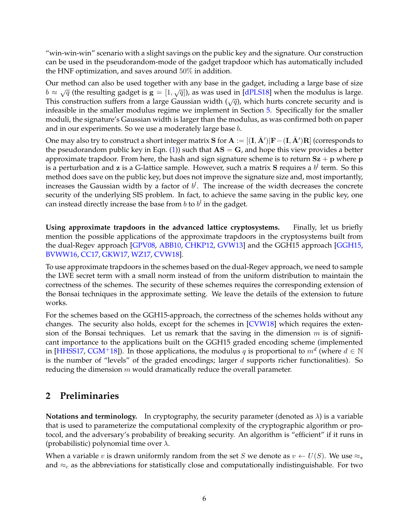"win-win-win" scenario with a slight savings on the public key and the signature. Our construction can be used in the pseudorandom-mode of the gadget trapdoor which has automatically included the HNF optimization, and saves around 50% in addition.

Our method can also be used together with any base in the gadget, including a large base of size  $b \approx \sqrt{q}$  (the resulting gadget is  $g = [1, \sqrt{q}]$ ), as was used in [\[dPLS18\]](#page-25-5) when the modulus is large. This construction suffers from a large Gaussian width  $(\sqrt{q})$ , which hurts concrete security and is infeasible in the smaller modulus regime we implement in Section [5.](#page-19-0) Specifically for the smaller moduli, the signature's Gaussian width is larger than the modulus, as was confirmed both on paper and in our experiments. So we use a moderately large base b.

One may also try to construct a short integer matrix  ${\bf S}$  for  ${\bf A} := [({\bf I},\bar{\bf A}')|{\bf F}-({\bf I},\bar{\bf A}'){\bf R}]$  (corresponds to the pseudorandom public key in Eqn. [\(1\)](#page-4-0)) such that  $AS = G$ , and hope this view provides a better approximate trapdoor. From here, the hash and sign signature scheme is to return  $Sz + p$  where p is a perturbation and **z** is a G-lattice sample. However, such a matrix **S** requires a  $b^l$  term. So this method does save on the public key, but does not improve the signature size and, most importantly, increases the Gaussian width by a factor of  $b^l$ . The increase of the width decreases the concrete security of the underlying SIS problem. In fact, to achieve the same saving in the public key, one can instead directly increase the base from  $b$  to  $b^l$  in the gadget.

**Using approximate trapdoors in the advanced lattice cryptosystems.** Finally, let us briefly mention the possible applications of the approximate trapdoors in the cryptosystems built from the dual-Regev approach [\[GPV08,](#page-26-3) [ABB10,](#page-23-1) [CHKP12,](#page-25-1) [GVW13\]](#page-26-4) and the GGH15 approach [\[GGH15,](#page-26-5) [BVWW16,](#page-24-8) [CC17,](#page-25-6) [GKW17,](#page-26-9) [WZ17,](#page-27-5) [CVW18\]](#page-25-7).

To use approximate trapdoors in the schemes based on the dual-Regev approach, we need to sample the LWE secret term with a small norm instead of from the uniform distribution to maintain the correctness of the schemes. The security of these schemes requires the corresponding extension of the Bonsai techniques in the approximate setting. We leave the details of the extension to future works.

For the schemes based on the GGH15-approach, the correctness of the schemes holds without any changes. The security also holds, except for the schemes in [\[CVW18\]](#page-25-7) which requires the extension of the Bonsai techniques. Let us remark that the saving in the dimension  $m$  is of significant importance to the applications built on the GGH15 graded encoding scheme (implemented in [\[HHSS17,](#page-26-10) [CGM](#page-25-8)<sup>+</sup>18]). In those applications, the modulus q is proportional to  $m^d$  (where  $d \in \mathbb{N}$ is the number of "levels" of the graded encodings; larger  $d$  supports richer functionalities). So reducing the dimension  $m$  would dramatically reduce the overall parameter.

# <span id="page-7-0"></span>**2 Preliminaries**

**Notations and terminology.** In cryptography, the security parameter (denoted as  $\lambda$ ) is a variable that is used to parameterize the computational complexity of the cryptographic algorithm or protocol, and the adversary's probability of breaking security. An algorithm is "efficient" if it runs in (probabilistic) polynomial time over  $\lambda$ .

When a variable v is drawn uniformly random from the set S we denote as  $v \leftarrow U(S)$ . We use  $\approx_s$ and  $\approx_c$  as the abbreviations for statistically close and computationally indistinguishable. For two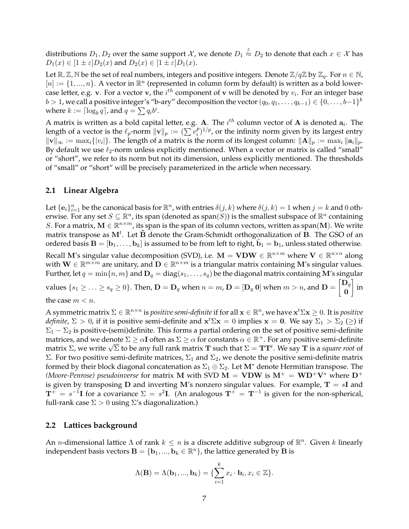distributions  $D_1, D_2$  over the same support  $\mathcal X$ , we denote  $D_1\stackrel{\varepsilon}{\approx}D_2$  to denote that each  $x\in\mathcal X$  has  $D_1(x) \in [1 \pm \varepsilon] D_2(x)$  and  $D_2(x) \in [1 \pm \varepsilon] D_1(x)$ .

Let  $\mathbb{R}, \mathbb{Z}, \mathbb{N}$  be the set of real numbers, integers and positive integers. Denote  $\mathbb{Z}/q\mathbb{Z}$  by  $\mathbb{Z}_q$ . For  $n \in \mathbb{N}$ ,  $[n] := \{1, ..., n\}$ . A vector in  $\mathbb{R}^n$  (represented in column form by default) is written as a bold lowercase letter, e.g. v. For a vector v, the  $i^{th}$  component of v will be denoted by  $v_i$ . For an integer base  $b > 1$ , we call a positive integer's "b-ary" decomposition the vector  $(q_0, q_1, \ldots, q_{k-1}) \in \{0, \ldots, b-1\}^k$ where  $k := \lceil \log_b q \rceil$ , and  $q = \sum q_i b^i$ .

A matrix is written as a bold capital letter, e.g. A. The  $i^{th}$  column vector of A is denoted  $a_i$ . The length of a vector is the  $\ell_p$ -norm  $\|\mathbf{v}\|_p := (\sum v_i^p)$  $\binom{p}{i}^{1/p}$ , or the infinity norm given by its largest entry  $\|\mathbf{v}\|_{\infty} := \max_i \{|v_i|\}.$  The length of a matrix is the norm of its longest column:  $\|\mathbf{A}\|_p := \max_i \|\mathbf{a}_i\|_p.$ By default we use  $\ell_2$ -norm unless explicitly mentioned. When a vector or matrix is called "small" or "short", we refer to its norm but not its dimension, unless explicitly mentioned. The thresholds of "small" or "short" will be precisely parameterized in the article when necessary.

#### <span id="page-8-0"></span>**2.1 Linear Algebra**

Let  $\{e_i\}_{i=1}^n$  be the canonical basis for  $\mathbb{R}^n$ , with entries  $\delta(j,k)$  where  $\delta(j,k)=1$  when  $j=k$  and 0 otherwise. For any set  $S\subseteq \mathbb{R}^n$ , its span (denoted as span $(S)$ ) is the smallest subspace of  $\mathbb{R}^n$  containing S. For a matrix,  $M \in \mathbb{R}^{n \times m}$ , its span is the span of its column vectors, written as span(M). We write matrix transpose as  $M^t$ . Let  $\tilde{B}$  denote the Gram-Schmidt orthogonalization of  $\tilde{B}$ . The GSO of an ordered basis  $\mathbf{B} = [\mathbf{b}_1,\dots,\mathbf{b}_k]$  is assumed to be from left to right,  $\tilde{\mathbf{b}}_1 = \mathbf{b}_1$ , unless stated otherwise. Recall M's singular value decomposition (SVD), i.e.  $\mathbf{M} = \mathbf{V} \mathbf{D} \mathbf{W} \in \mathbb{R}^{n \times m}$  where  $\mathbf{V} \in \mathbb{R}^{n \times n}$  along with  $\mathbf{W} \in \mathbb{R}^{m \times m}$  are unitary, and  $\mathbf{D} \in \mathbb{R}^{n \times m}$  is a triangular matrix containing M's singular values. Further, let  $q = \min\{n, m\}$  and  $\mathbf{D}_q = \text{diag}(s_1, \ldots, s_q)$  be the diagonal matrix containing M's singular values  $\{s_1 \geq \ldots \geq s_q \geq 0\}$ . Then,  $\mathbf{D} = \mathbf{D}_q$  when  $n = m$ ,  $\mathbf{D} = [\mathbf{D}_q \ \mathbf{0}]$  when  $m > n$ , and  $\mathbf{D} = \begin{bmatrix} \mathbf{D}_q \ \mathbf{D}_q \end{bmatrix}$ 0 1 in the case  $m < n$ .

A symmetric matrix  $\Sigma\in\R^{n\times n}$  is *positive semi-definite* if for all  $\mathbf{x}\in\R^n$ , we have  $\mathbf{x}^t \Sigma \mathbf{x}\geq 0.$  It is *positive definite*,  $\Sigma > 0$ , if it is positive semi-definite and  $x^t \Sigma x = 0$  implies  $x = 0$ . We say  $\Sigma_1 > \Sigma_2 \ (\ge)$  if  $\Sigma_1 - \Sigma_2$  is positive-(semi)definite. This forms a partial ordering on the set of positive semi-definite matrices, and we denote  $\Sigma \geq \alpha I$  often as  $\Sigma \geq \alpha$  for constants  $\alpha \in \mathbb{R}^+$ . For any positive semi-definite matrices, and we denote *Σ*  $\geq$  αι orten as *Σ*  $\geq$  α for constants α ∈ ℝ ' . For any positive semi-definite<br>matrix Σ, we write  $\sqrt{\Sigma}$  to be any full rank matrix **T** such that Σ = **TT**<sup>t</sup>. We say **T** is a *square r* Σ. For two positive semi-definite matrices,  $\Sigma_1$  and  $\Sigma_2$ , we denote the positive semi-definite matrix formed by their block diagonal concatenation as  $\Sigma_1 \oplus \Sigma_2$ . Let M<sup>\*</sup> denote Hermitian transpose. The *(Moore-Penrose) pseudoinverse* for matrix M with SVD M = VDW is  $M^+ = WD^+V^*$  where  $D^+$ is given by transposing **D** and inverting M's nonzero singular values. For example,  $T = sI$  and  $T^+ = s^{-1}I$  for a covariance  $\Sigma = s^2I$ . (An analogous  $T^+ = T^{-1}$  is given for the non-spherical, full-rank case  $\Sigma > 0$  using  $\Sigma$ 's diagonalization.)

#### <span id="page-8-1"></span>**2.2 Lattices background**

An *n*-dimensional lattice  $\Lambda$  of rank  $k \leq n$  is a discrete additive subgroup of  $\mathbb{R}^n$ . Given k linearly independent basis vectors  $\mathbf{B}=\{\mathbf{b}_1,...,\mathbf{b}_k\in\mathbb{R}^n\}$ , the lattice generated by  $\mathbf{\bar{B}}$  is

$$
\Lambda(\mathbf{B}) = \Lambda(\mathbf{b}_1, ..., \mathbf{b}_k) = \{ \sum_{i=1}^k x_i \cdot \mathbf{b}_i, x_i \in \mathbb{Z} \}.
$$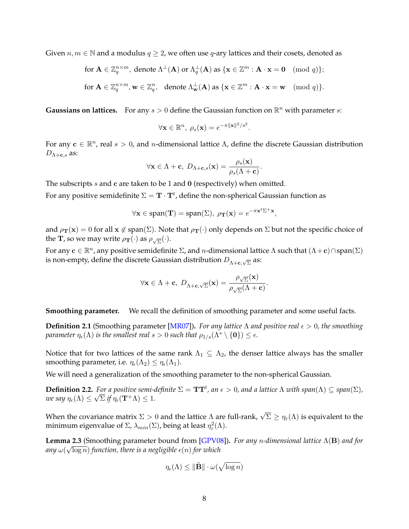Given  $n, m \in \mathbb{N}$  and a modulus  $q \geq 2$ , we often use q-ary lattices and their cosets, denoted as

for 
$$
\mathbf{A} \in \mathbb{Z}_q^{n \times m}
$$
, denote  $\Lambda^{\perp}(\mathbf{A})$  or  $\Lambda_q^{\perp}(\mathbf{A})$  as  $\{\mathbf{x} \in \mathbb{Z}^m : \mathbf{A} \cdot \mathbf{x} = \mathbf{0} \pmod{q}\};$   
for  $\mathbf{A} \in \mathbb{Z}_q^{n \times m}$ ,  $\mathbf{w} \in \mathbb{Z}_q^n$ , denote  $\Lambda_{\mathbf{w}}^{\perp}(\mathbf{A})$  as  $\{\mathbf{x} \in \mathbb{Z}^m : \mathbf{A} \cdot \mathbf{x} = \mathbf{w} \pmod{q}\}.$ 

**Gaussians on lattices.** For any  $s > 0$  define the Gaussian function on  $\mathbb{R}^n$  with parameter s:

$$
\forall \mathbf{x} \in \mathbb{R}^n, \ \rho_s(\mathbf{x}) = e^{-\pi ||\mathbf{x}||^2/s^2}.
$$

For any  $\mathbf{c} \in \mathbb{R}^n$ , real  $s > 0$ , and n-dimensional lattice  $\Lambda$ , define the discrete Gaussian distribution  $D_{\Lambda+\mathbf{c},s}$  as:

$$
\forall \mathbf{x} \in \Lambda + \mathbf{c}, \ D_{\Lambda + \mathbf{c},s}(\mathbf{x}) = \frac{\rho_s(\mathbf{x})}{\rho_s(\Lambda + \mathbf{c})}.
$$

The subscripts  $s$  and  $c$  are taken to be 1 and 0 (respectively) when omitted.

For any positive semidefinite  $\Sigma = {\bf T}\cdot {\bf T}^t$ , define the non-spherical Gaussian function as

$$
\forall \mathbf{x} \in \text{span}(\mathbf{T}) = \text{span}(\Sigma), \ \rho_{\mathbf{T}}(\mathbf{x}) = e^{-\pi \mathbf{x}^t \Sigma^+ \mathbf{x}},
$$

and  $\rho_{\bf T}({\bf x}) = 0$  for all  ${\bf x} \notin \text{span}(\Sigma)$ . Note that  $\rho_{\bf T}(\cdot)$  only depends on  $\Sigma$  but not the specific choice of the **T**, so we may write  $\rho_{\textbf{T}}(\cdot)$  as  $\rho_{\sqrt{\Sigma}}(\cdot)$ .

For any  $\mathbf{c} \in \mathbb{R}^n$ , any positive semidefinite  $\Sigma$ , and  $n$ -dimensional lattice  $\Lambda$  such that  $(\Lambda + \mathbf{c}) \cap \text{span}(\Sigma)$ is non-empty, define the discrete Gaussian distribution  $D_{\Lambda+\mathbf{c},\sqrt{\Sigma}}$  as:

$$
\forall \mathbf{x} \in \Lambda + \mathbf{c}, \ D_{\Lambda + \mathbf{c}, \sqrt{\Sigma}}(\mathbf{x}) = \frac{\rho_{\sqrt{\Sigma}}(\mathbf{x})}{\rho_{\sqrt{\Sigma}}(\Lambda + \mathbf{c})}.
$$

**Smoothing parameter.** We recall the definition of smoothing parameter and some useful facts.

**Definition 2.1** (Smoothing parameter [\[MR07\]](#page-27-6)). For any lattice  $\Lambda$  and positive real  $\epsilon > 0$ , the smoothing *parameter*  $\eta_{\epsilon}(\Lambda)$  *is the smallest real*  $s > 0$  *such that*  $\rho_{1/s}(\Lambda^* \setminus \{0\}) \leq \epsilon$ .

Notice that for two lattices of the same rank  $\Lambda_1 \subseteq \Lambda_2$ , the denser lattice always has the smaller smoothing parameter, i.e.  $\eta_{\epsilon}(\Lambda_2) \leq \eta_{\epsilon}(\Lambda_1)$ .

We will need a generalization of the smoothing parameter to the non-spherical Gaussian.

**Definition 2.2.** For a positive semi-definite  $\Sigma = TT^t$ , an  $\epsilon > 0$ , and a lattice  $\Lambda$  with span $(\Lambda) \subseteq span(\Sigma)$ , *we say*  $\eta_{\epsilon}(\Lambda) \leq \sqrt{\Sigma}$  if  $\eta_{\epsilon}(\mathbf{T}^{+}\Lambda) \leq 1$ .

When the covariance matrix  $\Sigma > 0$  and the lattice  $\Lambda$  are full-rank,  $\sqrt{\Sigma} \geq \eta_{\varepsilon}(\Lambda)$  is equivalent to the minimum eigenvalue of  $\Sigma$ ,  $\lambda_{min}(\Sigma)$ , being at least  $\eta_\varepsilon^2(\Lambda)$ .

**Lemma 2.3** (Smoothing parameter bound from [\[GPV08\]](#page-26-3))**.** *For any* n*-dimensional lattice* Λ(B) *and for* √ any  $\omega(\sqrt{\log n})$  function, there is a negligible  $\epsilon(n)$  for which

$$
\eta_{\epsilon}(\Lambda) \leq \|\tilde{\mathbf{B}}\| \cdot \omega(\sqrt{\log n})
$$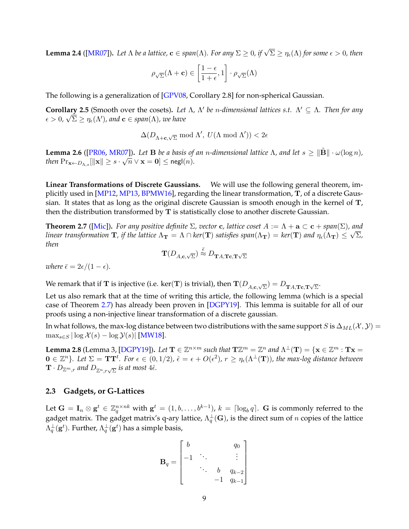**Lemma 2.4 ([\[MR07\]](#page-27-6)).** Let  $\Lambda$  be a lattice,  $\mathbf{c} \in span(\Lambda)$ . For any  $\Sigma \geq 0$ , if  $\sqrt{\Sigma} \geq \eta_{\epsilon}(\Lambda)$  for some  $\epsilon > 0$ , then

$$
\rho_{\sqrt{\Sigma}}(\Lambda+\mathbf{c}) \in \left[\frac{1-\epsilon}{1+\epsilon},1\right]\cdot\rho_{\sqrt{\Sigma}}(\Lambda)
$$

The following is a generalization of [\[GPV08,](#page-26-3) Corollary 2.8] for non-spherical Gaussian.

<span id="page-10-3"></span>**Corollary 2.5** (Smooth over the cosets). Let  $\Lambda$ ,  $\Lambda'$  be *n*-dimensional lattices s.t.  $\Lambda' \subseteq \Lambda$ . Then for any  $\epsilon > 0$ ,  $\sqrt{\Sigma} \geq \eta_\epsilon(\Lambda')$ , and  $\mathbf{c} \in span(\Lambda)$ , we have

 $\Delta(D_{\Lambda+\mathbf{c},\sqrt{\Sigma}}\bmod\Lambda',\ U(\Lambda\bmod\Lambda')) < 2\epsilon$ 

**Lemma 2.6** ([\[PR06,](#page-27-7) [MR07\]](#page-27-6)). Let **B** be a basis of an *n*-dimensional lattice  $\Lambda$ , and let  $s \geq ||\tilde{\mathbf{B}}|| \cdot \omega(\log n)$ ,  $\text{then } \Pr_{\mathbf{x} \leftarrow D_{\Lambda, s}}[\|\mathbf{x}\| \geq s \cdot \sqrt{n} \vee \mathbf{x} = \mathbf{0}] \leq \mathsf{negl}(n).$ 

**Linear Transformations of Discrete Gaussians.** We will use the following general theorem, implicitly used in [\[MP12,](#page-27-1) [MP13,](#page-27-4) [BPMW16\]](#page-24-7), regarding the linear transformation, T, of a discrete Gaussian. It states that as long as the original discrete Gaussian is smooth enough in the kernel of T, then the distribution transformed by T is statistically close to another discrete Gaussian.

<span id="page-10-2"></span>**Theorem 2.7** ([\[Mic\]](#page-27-8)). For any positive definite  $\Sigma$ , vector c, lattice coset  $A := \Lambda + \mathbf{a} \subset \mathbf{c} + span(\Sigma)$ , and *linear transformation*  $\bf{T}$ *, if the lattice*  $\Lambda_{\bf{T}}=\Lambda\cap ker(\bf{T})$  *satisfies*  $span(\Lambda_{\bf{T}})=ker(\bf{T})$  *and*  $\eta_\epsilon(\Lambda_{\bf{T}})\leq \sqrt{\Sigma}$ *, then*

$$
\mathbf{T}(D_{A,\mathbf{c},\sqrt{\Sigma}}) \stackrel{\bar{\epsilon}}{\approx} D_{\mathbf{T} A,\mathbf{Tc},\mathbf{T}\sqrt{\Sigma}}
$$

*where*  $\bar{\epsilon} = 2\epsilon/(1 - \epsilon)$ *.* 

We remark that if  ${\bf T}$  is injective (i.e. ker(T) is trivial), then  ${\bf T}(D_{A,{\bf c},\sqrt\Sigma})=D_{\bf TA, \bf Tc,\bf T\sqrt\Sigma}.$ 

Let us also remark that at the time of writing this article, the following lemma (which is a special case of Theorem [2.7\)](#page-10-2) has already been proven in [\[DGPY19\]](#page-25-4). This lemma is suitable for all of our proofs using a non-injective linear transformation of a discrete gaussian.

In what follows, the max-log distance between two distributions with the same support S is  $\Delta_{ML}(X, Y) =$  $\max_{s \in S} |\log \mathcal{X}(s) - \log \mathcal{Y}(s)|$  [\[MW18\]](#page-27-9).

<span id="page-10-1"></span>**Lemma 2.8** (Lemma 3, [\[DGPY19\]](#page-25-4)). Let  $\mathbf{T} \in \mathbb{Z}^{n \times m}$  such that  $\mathbf{T} \mathbb{Z}^m = \mathbb{Z}^n$  and  $\Lambda^{\perp}(\mathbf{T}) = \{ \mathbf{x} \in \mathbb{Z}^m : \mathbf{T} \mathbf{x} = \mathbf{T} \mathbf{T}$  $\mathbf{0} \in \mathbb{Z}^n$ }. Let  $\Sigma = \mathbf{T} \mathbf{T}^t$ . For  $\epsilon \in (0,1/2)$ ,  $\hat{\epsilon} = \epsilon + O(\epsilon^2)$ ,  $r \geq \eta_{\epsilon}(\Lambda^{\perp}(\mathbf{T}))$ , the max-log distance between  $\mathbf{T}\cdot D_{\mathbb{Z}^m,r}$  and  $D_{\mathbb{Z}^n,r\sqrt{\Sigma}}$  is at most 4 $\hat{\epsilon}.$ 

### <span id="page-10-0"></span>**2.3 Gadgets, or G-Lattices**

Let  $\mathbf{G} = \mathbf{I}_n \otimes \mathbf{g}^t \in \mathbb{Z}_q^{n \times nk}$  with  $\mathbf{g}^t = (1, b, \dots, b^{k-1})$ ,  $k = \lceil \log_b q \rceil$ .  $\mathbf{G}$  is commonly referred to the gadget matrix. The gadget matrix's q-ary lattice,  $\Lambda^\perp_q(\mathbf{G})$ , is the direct sum of  $n$  copies of the lattice  $\Lambda^\bot_q({\bf g}^t)$ . Further,  $\Lambda^\bot_q({\bf g}^t)$  has a simple basis,

$$
\mathbf{B}_{q} = \begin{bmatrix} b & & & q_{0} \\ -1 & \ddots & & \vdots \\ & & b & q_{k-2} \\ & & & -1 & q_{k-1} \end{bmatrix}
$$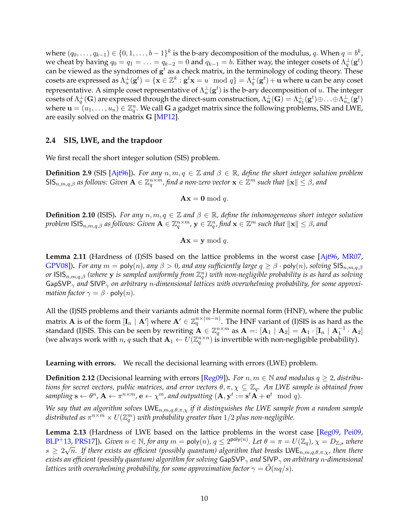where  $(q_0, \ldots, q_{k-1}) \in \{0, 1, \ldots, b-1\}^k$  is the b-ary decomposition of the modulus,  $q$ . When  $q = b^k$ , we cheat by having  $q_0 = q_1 = \ldots = q_{k-2} = 0$  and  $q_{k-1} = b$ . Either way, the integer cosets of  $\Lambda_q^{\perp}(\mathbf{g}^t)$ can be viewed as the syndromes of  $\mathbf{g}^t$  as a check matrix, in the terminology of coding theory. These cosets are expressed as  $\Lambda_u^\perp({\bf g}^t)=\{{\bf x}\in\mathbb{Z}^k:{\bf g}^t{\bf x}=u\mod q\}=\Lambda_q^\perp({\bf g}^t)+{\bf u}$  where  ${\bf u}$  can be any coset representative. A simple coset representative of  $\Lambda_u^\perp(\mathbf{g}^t)$  is the b-ary decomposition of  $u$ . The integer cosets of  $\Lambda_q^{\perp}(\mathbf{G})$  are expressed through the direct-sum construction,  $\Lambda_{\mathbf{u}}^{\perp}(\mathbf{G})=\Lambda_{u_1}^{\perp}(\mathbf{g}^t)\oplus\ldots\oplus\Lambda_{u_n}^{\perp}(\mathbf{g}^t)$ where  $\mathbf{u}=(u_1,\ldots,u_n)\in\mathbb{Z}_q^n.$  We call G a gadget matrix since the following problems, SIS and LWE, are easily solved on the matrix G [\[MP12\]](#page-27-1).

### <span id="page-11-0"></span>**2.4 SIS, LWE, and the trapdoor**

We first recall the short integer solution (SIS) problem.

**Definition 2.9** (SIS [\[Ajt96\]](#page-24-0)). For any  $n, m, q \in \mathbb{Z}$  and  $\beta \in \mathbb{R}$ , define the short integer solution problem  $\mathsf{SIS}_{n,m,q,\beta}$  as follows: Given  $\mathbf{A}\in\mathbb{Z}_q^{n\times m}$ , find a non-zero vector  $\mathbf{x}\in\mathbb{Z}^m$  such that  $\|\mathbf{x}\|\leq\beta$ , and

 $\mathbf{A}\mathbf{x} = \mathbf{0} \bmod q.$ 

**Definition 2.10** (ISIS). For any  $n, m, q \in \mathbb{Z}$  and  $\beta \in \mathbb{R}$ , define the inhomogeneous short integer solution *problem*  $\textsf{ISS}_{n,m,q,\beta}$  *as follows: Given*  $\mathbf{A} \in \mathbb{Z}_q^{n \times m}$ ,  $\mathbf{y} \in \mathbb{Z}_q^n$ , find  $\mathbf{x} \in \mathbb{Z}^m$  such that  $\|\mathbf{x}\| \leq \beta$ , and

$$
\mathbf{A}\mathbf{x} = \mathbf{y} \bmod q.
$$

**Lemma 2.11** (Hardness of (I)SIS based on the lattice problems in the worst case [\[Ajt96,](#page-24-0) [MR07,](#page-27-6) [GPV08\]](#page-26-3)). *For any*  $m = \text{poly}(n)$ , any  $\beta > 0$ , and any sufficiently large  $q \geq \beta \cdot \text{poly}(n)$ , solving SIS<sub>n,m,a, $\beta$ </sub> *or* ISISn,m,q,β *(where* y *is sampled uniformly from* Z n q *) with non-negligible probability is as hard as solving* GapSVP<sub>γ</sub> and SIVP<sub>γ</sub> on arbitrary *n*-dimensional lattices with overwhelming probability, for some approxi*mation factor*  $\gamma = \beta \cdot \text{poly}(n)$ .

All the (I)SIS problems and their variants admit the Hermite normal form (HNF), where the public matrix  ${\bf A}$  is of the form  $[{\bf I}_n\mid{\bf A}']$  where  ${\bf A}'\in\mathbb{Z}_q^{n\times (m-n)}.$  The HNF variant of (I)SIS is as hard as the standard (I)SIS. This can be seen by rewriting  $\mathbf{A}\in\mathbb{Z}_q^{n\times m}$  as  $\mathbf{A}=:[\mathbf{A}_1\mid \mathbf{A}_2]=\mathbf{A}_1\cdot [\mathbf{I}_n\mid \mathbf{A}_1^{-1}\cdot\mathbf{A}_2]$ (we always work with n, q such that  $A_1 \leftarrow U(\mathbb{Z}_q^{n \times n})$  is invertible with non-negligible probability).

**Learning with errors.** We recall the decisional learning with errors (LWE) problem.

**Definition 2.12** (Decisional learning with errors [\[Reg09\]](#page-27-10)). For  $n, m \in \mathbb{N}$  and modulus  $q \ge 2$ , distribu*tions for secret vectors, public matrices, and error vectors* θ, π, χ ⊆ Zq*. An LWE sample is obtained from*  $sampling \mathbf{s} \leftarrow \theta^n$ ,  $\mathbf{A} \leftarrow \pi^{n \times m}$ ,  $\mathbf{e} \leftarrow \chi^m$ , and outputting  $(\mathbf{A}, \mathbf{y}^t := \mathbf{s}^t \mathbf{A} + \mathbf{e}^t \mod q)$ .

*We say that an algorithm solves* LWE<sub>n,m,q,θ,π,χ *if it distinguishes the LWE sample from a random sample*</sub> distributed as  $\pi^{n\times m}\times U(\mathbb{Z}_q^m)$  with probability greater than  $1/2$  plus non-negligible.

<span id="page-11-1"></span>**Lemma 2.13** (Hardness of LWE based on the lattice problems in the worst case [\[Reg09,](#page-27-10) [Pei09,](#page-27-11)  $BLP^+$  $BLP^+$ 13, [PRS17\]](#page-27-12)). *Given*  $n \in \mathbb{N}$ , for any  $m = \text{poly}(n)$ ,  $q \leq 2^{\text{poly}(n)}$ . Let  $\theta = \pi = U(\mathbb{Z}_q)$ ,  $\chi = D_{\mathbb{Z},s}$  where  $s\ge 2\sqrt{n}.$  If there exists an efficient (possibly quantum) algorithm that breaks  $\mathsf{LWE}_{n,m,q,\theta,\pi,\chi}$ , then there *exists an efficient (possibly quantum) algorithm for solving* GapSVP<sub> $\gamma$ </sub> *and* SIVP<sub> $\gamma$ </sub> *on arbitrary n-dimensional lattices with overwhelming probability, for some approximation factor*  $\gamma = O(nq/s)$ *.*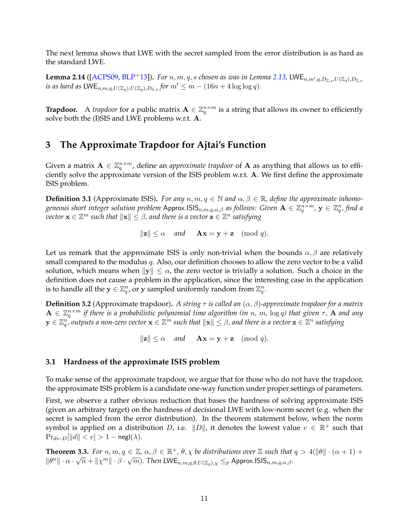The next lemma shows that LWE with the secret sampled from the error distribution is as hard as the standard LWE.

**Lemma 2.14** ([\[ACPS09,](#page-24-10) [BLP](#page-24-9)+13]). For  $n, m, q, s$  chosen as was in Lemma [2.13,](#page-11-1) LWE $_{n,m',q,D_{\mathbb{Z},s},U(\mathbb{Z}_q),D_{\mathbb{Z},s}}$ *is as hard as*  $\mathsf{LWE}_{n,m,q,U(\mathbb{Z}_q),U(\mathbb{Z}_q),D_{\mathbb{Z},s}}$  for  $m' \leq m - (16n + 4\log\log q)$ .

**Trapdoor.** A *trapdoor* for a public matrix  $A \in \mathbb{Z}_q^{n \times m}$  is a string that allows its owner to efficiently solve both the (I)SIS and LWE problems w.r.t. A.

# <span id="page-12-0"></span>**3 The Approximate Trapdoor for Ajtai's Function**

Given a matrix  $\mathbf{A} \in \mathbb{Z}_q^{n \times m}$ , define an *approximate trapdoor* of  $\mathbf{A}$  as anything that allows us to efficiently solve the approximate version of the ISIS problem w.r.t. A. We first define the approximate ISIS problem.

**Definition 3.1** (Approximate ISIS). *For any*  $n, m, q \in \mathbb{N}$  and  $\alpha, \beta \in \mathbb{R}$ , define the approximate inhomo $g$ eneous short integer solution problem Approx.ISIS $_{n,m,q,\alpha,\beta}$  as follows: Given  $\mathbf{A}\in\mathbb{Z}_q^{n\times m}$ ,  $\mathbf{y}\in\mathbb{Z}_q^n$ , find a  $\overline{v}$ ector  $\mathbf{x} \in \mathbb{Z}^m$  such that  $\|\mathbf{x}\| \leq \beta$ , and there is a vector  $\mathbf{z} \in \mathbb{Z}^n$  satisfying

$$
\|\mathbf{z}\| \le \alpha
$$
 and  $\mathbf{A}\mathbf{x} = \mathbf{y} + \mathbf{z}$  (mod  $q$ ).

Let us remark that the approximate ISIS is only non-trivial when the bounds  $\alpha, \beta$  are relatively small compared to the modulus  $q$ . Also, our definition chooses to allow the zero vector to be a valid solution, which means when  $\|y\| \leq \alpha$ , the zero vector is trivially a solution. Such a choice in the definition does not cause a problem in the application, since the interesting case in the application is to handle all the  $\mathbf{y} \in \mathbb{Z}_q^n$ , or  $\mathbf{y}$  sampled uniformly random from  $\mathbb{Z}_q^n$ .

**Definition 3.2** (Approximate trapdoor). *A string*  $\tau$  *is called an*  $(\alpha, \beta)$ -approximate trapdoor for a matrix  $A \in \mathbb{Z}_q^{n \times m}$  if there is a probabilistic polynomial time algorithm (in n, m, log q) that given  $\tau$ ,  $A$  and any  $\mathbf{y}\in \mathbb{Z}_q^n$  outputs a non-zero vector  $\mathbf{x}\in \mathbb{Z}^m$  such that  $\|\mathbf{x}\|\leq \beta$ , and there is a vector  $\mathbf{z}\in \mathbb{Z}^n$  satisfying

 $\|\mathbf{z}\| \leq \alpha$  *and*  $\mathbf{A}\mathbf{x} = \mathbf{v} + \mathbf{z} \pmod{q}$ .

### <span id="page-12-1"></span>**3.1 Hardness of the approximate ISIS problem**

To make sense of the approximate trapdoor, we argue that for those who do not have the trapdoor, the approximate ISIS problem is a candidate one-way function under proper settings of parameters.

First, we observe a rather obvious reduction that bases the hardness of solving approximate ISIS (given an arbitrary target) on the hardness of decisional LWE with low-norm secret (e.g. when the secret is sampled from the error distribution). In the theorem statement below, when the norm symbol is applied on a distribution D, i.e.  $||D||$ , it denotes the lowest value  $v \in \mathbb{R}^+$  such that  $Pr_{d \leftarrow D}[\Vert d \Vert < v] > 1 - negl(\lambda).$ 

**Theorem 3.3.** *For*  $n, m, q \in \mathbb{Z}$ ,  $\alpha, \beta \in \mathbb{R}^+$ ,  $\theta, \chi$  *be distributions over*  $\mathbb{Z}$  *such that*  $q > 4(\|\theta\| \cdot (\alpha + 1) + \alpha)$ **in Example 11 - 12.** Then  $\mu$ ,  $m, q \in \mathbb{Z}$ ,  $\alpha, \beta \in \mathbb{R}^n$ ,  $\sigma$ ,  $\chi$  be distributions over  $\mathbb{Z}$  such that  $\|\theta^n\| \cdot \alpha \cdot \sqrt{n} + \| \chi^m \| \cdot \beta \cdot \sqrt{m}$ . Then LWE<sub>n,m,q, $\theta$ , $U(\mathbb{Z}_q)$ , $\chi \leq_p$  Approx.ISIS<sub>n,m,q, $\alpha$ ,</sub></sub>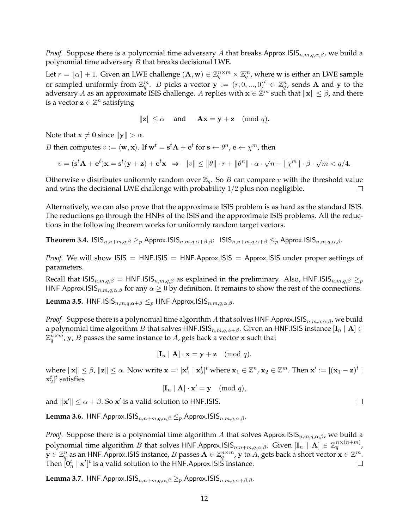*Proof.* Suppose there is a polynomial time adversary A that breaks Approx.ISIS $_{n,m,q,\alpha,\beta}$ , we build a polynomial time adversary  $B$  that breaks decisional LWE.

Let  $r = \lfloor \alpha \rfloor + 1$ . Given an LWE challenge  $(A, w) \in \mathbb{Z}_q^{n \times m} \times \mathbb{Z}_q^m$ , where w is either an LWE sample or sampled uniformly from  $\mathbb{Z}_q^m$ . B picks a vector  $\mathbf{y} := (r, 0, ..., 0)^t \in \mathbb{Z}_q^n$ , sends A and y to the adversary A as an approximate ISIS challenge. A replies with  $\mathbf{x} \in \mathbb{Z}^m$  such that  $\|\mathbf{x}\| \leq \beta$ , and there is a vector  $\mathbf{z} \in \mathbb{Z}^n$  satisfying

$$
\|\mathbf{z}\| \le \alpha
$$
 and  $\mathbf{A}\mathbf{x} = \mathbf{y} + \mathbf{z}$  (mod  $q$ ).

Note that  $x \neq 0$  since  $||y|| > \alpha$ .

*B* then computes  $v := \langle \mathbf{w}, \mathbf{x} \rangle$ . If  $\mathbf{w}^t = \mathbf{s}^t \mathbf{A} + \mathbf{e}^t$  for  $\mathbf{s} \leftarrow \theta^n$ ,  $\mathbf{e} \leftarrow \chi^m$ , then

$$
v = (\mathbf{s}^t \mathbf{A} + \mathbf{e}^t)\mathbf{x} = \mathbf{s}^t(\mathbf{y} + \mathbf{z}) + \mathbf{e}^t\mathbf{x} \Rightarrow ||v|| \le ||\theta|| \cdot r + ||\theta^n|| \cdot \alpha \cdot \sqrt{n} + ||\chi^m|| \cdot \beta \cdot \sqrt{m} < q/4.
$$

Otherwise v distributes uniformly random over  $\mathbb{Z}_q$ . So B can compare v with the threshold value and wins the decisional LWE challenge with probability  $1/2$  plus non-negligible.  $\Box$ 

Alternatively, we can also prove that the approximate ISIS problem is as hard as the standard ISIS. The reductions go through the HNFs of the ISIS and the approximate ISIS problems. All the reductions in the following theorem works for uniformly random target vectors.

<span id="page-13-0"></span>**Theorem 3.4.**  $\text{ISIS}_{n,n+m,q,\beta} \geq_{p} \text{Approx.ISIS}_{n,m,q,\alpha+\beta,\beta}$ ;  $\text{ISIS}_{n,n+m,q,\alpha+\beta} \leq_{p} \text{Approx.ISIS}_{n,m,q,\alpha,\beta}$ .

*Proof.* We will show ISIS =  $HNF.$ ISIS =  $HNF.$ Approx.ISIS = Approx.ISIS under proper settings of parameters.

Recall that  $\text{ISS}_{n,m,q,\beta} = \text{HNF.}$ ISIS $_{n,m,q,\beta}$  as explained in the preliminary. Also, HNF.ISIS $_{n,m,q,\beta} \geq_p$ HNF.Approx.ISIS $_{n,m,q,\alpha,\beta}$  for any  $\alpha \geq 0$  by definition. It remains to show the rest of the connections.

<span id="page-13-2"></span>Lemma 3.5.  $HNF.ISIS_{n,m,q,\alpha+\beta} \leq_p HNF.Approx.ISIS_{n,m,q,\alpha,\beta}.$ 

*Proof.* Suppose there is a polynomial time algorithm A that solves HNF.Approx.ISIS $_{n,m,q,\alpha,\beta}$ , we build a polynomial time algorithm B that solves  $HNF.$ ISIS $_{n,m,q,\alpha+\beta}$ . Given an HNF.ISIS instance  $[\mathbf{I}_n \mid \mathbf{A}] \in$  $\mathbb{Z}_q^{n\times m}$ ,  $\mathbf{y}$ ,  $B$  passes the same instance to  $A$ , gets back a vector  $\mathbf x$  such that

$$
[\mathbf{I}_n \mid \mathbf{A}] \cdot \mathbf{x} = \mathbf{y} + \mathbf{z} \pmod{q}.
$$

where  $\|\mathbf{x}\| \leq \beta$ ,  $\|\mathbf{z}\| \leq \alpha$ . Now write  $\mathbf{x} =: [\mathbf{x}_1^t \mid \mathbf{x}_2^t]^t$  where  $\mathbf{x}_1 \in \mathbb{Z}^n$ ,  $\mathbf{x}_2 \in \mathbb{Z}^m$ . Then  $\mathbf{x}' := [(\mathbf{x}_1 - \mathbf{z})^t \mid \mathbf{x}_2^t]$  $\mathbf{x}_2^t]^t$  satisfies

$$
[\mathbf{I}_n \mid \mathbf{A}] \cdot \mathbf{x}' = \mathbf{y} \pmod{q},
$$

and  $\|\mathbf{x}'\| \leq \alpha + \beta$ . So  $\mathbf{x}'$  is a valid solution to HNF.ISIS.

**Lemma 3.6.** HNF.Approx.ISIS $_{n,n+m,q,\alpha,\beta} \leq_p$  Approx.ISIS $_{n,m,q,\alpha,\beta}$ .

*Proof.* Suppose there is a polynomial time algorithm A that solves Approx.ISIS $_{n,m,q,\alpha,\beta}$ , we build a polynomial time algorithm  $B$  that solves HNF.Approx.ISIS $_{n,n+m,q,\alpha,\beta}$ . Given  $[\mathbf{I}_n \mid \mathbf{A}] \in \mathbb{Z}_q^{n \times (n+m)}$ ,  ${\bf y}\in\mathbb Z_q^n$  as an HNF.Approx.ISIS instance,  $B$  passes  ${\bf A}\in\mathbb Z_q^{n\times m}$  ,  ${\bf y}$  to  $\widetilde{A}$  , gets back a short vector  ${\bf x}\in\mathbb Z^m.$ Then  $[\mathbf{0}^t_n\mid \mathbf{x}^t]^t$  is a valid solution to the HNF.Approx.ISIS instance.  $\Box$ 

<span id="page-13-1"></span>**Lemma 3.7.** HNF.Approx.ISIS $_{n,n+m,q,\alpha,\beta} \geq_p A$ pprox.ISIS $_{n,m,q,\alpha+\beta,\beta}$ .

 $\Box$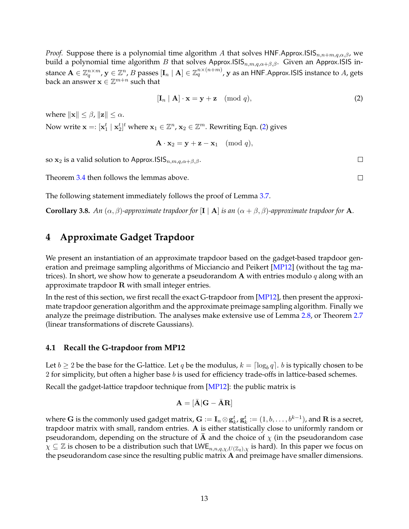*Proof.* Suppose there is a polynomial time algorithm A that solves HNF.Approx.ISIS<sub>n,n+m,q, $\alpha$ , $\beta$ , we</sub> build a polynomial time algorithm B that solves Approx.ISIS<sub>n,m,q, $\alpha+\beta,\beta$ </sub>. Given an Approx.ISIS instance  $\mathbf{A}\in\mathbb{Z}_q^{n\times m}$ ,  $\mathbf{y}\in\mathbb{Z}^n$ ,  $B$  passes  $[\mathbf{I}_n\mid\mathbf{A}]\in\mathbb{Z}_q^{n\times(n+m)}$ ,  $\mathbf{y}$  as an HNF.Approx.ISIS instance to  $A$ , gets back an answer  $\mathbf{x} \in \mathbb{Z}^{m+n}$  such that

<span id="page-14-2"></span>
$$
[\mathbf{I}_n \mid \mathbf{A}] \cdot \mathbf{x} = \mathbf{y} + \mathbf{z} \pmod{q},\tag{2}
$$

where  $\|\mathbf{x}\| < \beta$ ,  $\|\mathbf{z}\| < \alpha$ .

Now write  $\mathbf{x} =: [\mathbf{x}_1^t \mid \mathbf{x}_2^t]^t$  where  $\mathbf{x}_1 \in \mathbb{Z}^n$ ,  $\mathbf{x}_2 \in \mathbb{Z}^m$ . Rewriting Eqn. [\(2\)](#page-14-2) gives

$$
\mathbf{A} \cdot \mathbf{x}_2 = \mathbf{y} + \mathbf{z} - \mathbf{x}_1 \pmod{q},
$$

so  $x_2$  is a valid solution to Approx. ISIS $_{n,m,q,\alpha+\beta,\beta}$ .

Theorem [3.4](#page-13-0) then follows the lemmas above.

The following statement immediately follows the proof of Lemma [3.7.](#page-13-1)

**Corollary 3.8.** *An*  $(\alpha, \beta)$ *-approximate trapdoor for* [I | A] *is an*  $(\alpha + \beta, \beta)$ *-approximate trapdoor for* A*.* 

# <span id="page-14-0"></span>**4 Approximate Gadget Trapdoor**

We present an instantiation of an approximate trapdoor based on the gadget-based trapdoor generation and preimage sampling algorithms of Micciancio and Peikert [\[MP12\]](#page-27-1) (without the tag matrices). In short, we show how to generate a pseudorandom A with entries modulo q along with an approximate trapdoor R with small integer entries.

In the rest of this section, we first recall the exact G-trapdoor from [\[MP12\]](#page-27-1), then present the approximate trapdoor generation algorithm and the approximate preimage sampling algorithm. Finally we analyze the preimage distribution. The analyses make extensive use of Lemma [2.8,](#page-10-1) or Theorem [2.7](#page-10-2) (linear transformations of discrete Gaussians).

#### <span id="page-14-1"></span>**4.1 Recall the G-trapdoor from MP12**

Let  $b\geq 2$  be the base for the G-lattice. Let  $q$  be the modulus,  $k=\lceil \log_b q \rceil.$   $b$  is typically chosen to be 2 for simplicity, but often a higher base  $b$  is used for efficiency trade-offs in lattice-based schemes.

Recall the gadget-lattice trapdoor technique from [\[MP12\]](#page-27-1): the public matrix is

$$
\mathbf{A} = [\bar{\mathbf{A}}] \mathbf{G} - \bar{\mathbf{A}} \mathbf{R}]
$$

where  ${\bf G}$  is the commonly used gadget matrix,  ${\bf G}:= {\bf I}_n\otimes {\bf g}^t_{k'}$  ,  ${\bf g}^t_{k} := (1,b,\ldots,b^{k-1})$ , and  ${\bf R}$  is a secret, trapdoor matrix with small, random entries. A is either statistically close to uniformly random or pseudorandom, depending on the structure of  $\bar{A}$  and the choice of  $\chi$  (in the pseudorandom case  $\chi \subseteq \mathbb{Z}$  is chosen to be a distribution such that LWE<sub>n,n,q, $\chi$ , $U(\mathbb{Z}_q)$ , $\chi$  is hard). In this paper we focus on</sub> the pseudorandom case since the resulting public matrix A and preimage have smaller dimensions.

 $\Box$  $\Box$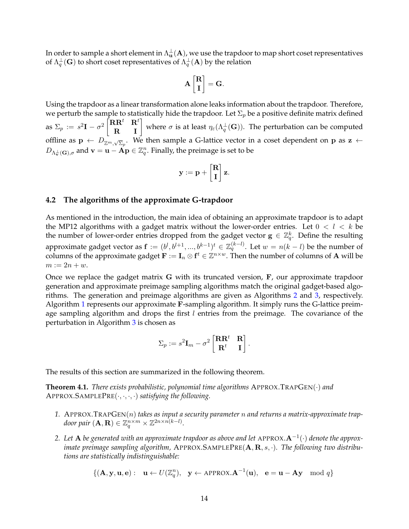In order to sample a short element in  $\Lambda_\mathbf{u}^\perp(\mathbf{A})$ , we use the trapdoor to map short coset representatives of  $\Lambda^\perp_q(\mathbf{G})$  to short coset representatives of  $\Lambda^\perp_q(\mathbf{A})$  by the relation

$$
\mathbf{A}\begin{bmatrix}\mathbf{R} \\ \mathbf{I}\end{bmatrix} = \mathbf{G}.
$$

Using the trapdoor as a linear transformation alone leaks information about the trapdoor. Therefore, we perturb the sample to statistically hide the trapdoor. Let  $\Sigma_p$  be a positive definite matrix defined as  $\Sigma_p := s^2 \mathbf{I} - \sigma^2 \begin{bmatrix} \mathbf{R} \mathbf{R}^t & \mathbf{R}^t \ \mathbf{R} & \mathbf{I} \end{bmatrix}$  where  $\sigma$  is at least  $\eta_\varepsilon(\Lambda_q^\perp(\mathbf{G})).$  The perturbation can be computed offline as  $\mathbf{p} \leftarrow D_{\mathbb{Z}^m,\sqrt{\Sigma}_p}.$  We then sample a G-lattice vector in a coset dependent on  $\mathbf{p}$  as  $\mathbf{z} \leftarrow$  $D_{\Lambda^{\perp}_{\mathbf{v}}(\mathbf{G}),\sigma}$  and  $\mathbf{v}=\mathbf{u}-\mathbf{A}\mathbf{p}\in\mathbb{Z}_q^n.$  Finally, the preimage is set to be

$$
\mathbf{y} := \mathbf{p} + \begin{bmatrix} \mathbf{R} \\ \mathbf{I} \end{bmatrix} \mathbf{z}.
$$

#### <span id="page-15-0"></span>**4.2 The algorithms of the approximate G-trapdoor**

As mentioned in the introduction, the main idea of obtaining an approximate trapdoor is to adapt the MP12 algorithms with a gadget matrix without the lower-order entries. Let  $0 < l < k$  be the number of lower-order entries dropped from the gadget vector  $\mathbf{g} \in \mathbb{Z}_q^k$ . Define the resulting approximate gadget vector as  $\mathbf{f} := (b^l, b^{l+1}, ..., b^{k-1})^t \in \mathbb{Z}_q^{(k-l)}.$  Let  $w = n(k-l)$  be the number of columns of the approximate gadget  $\mathbf{F} := \mathbf{I}_n \otimes \mathbf{f}^t \in \mathbb{Z}^{n \times w}$ . Then the number of columns of A will be  $m := 2n + w$ .

Once we replace the gadget matrix G with its truncated version, F, our approximate trapdoor generation and approximate preimage sampling algorithms match the original gadget-based algorithms. The generation and preimage algorithms are given as Algorithms [2](#page-16-1) and [3,](#page-16-2) respectively. Algorithm [1](#page-16-3) represents our approximate F-sampling algorithm. It simply runs the G-lattice preimage sampling algorithm and drops the first  $l$  entries from the preimage. The covariance of the perturbation in Algorithm [3](#page-16-2) is chosen as

$$
\Sigma_p := s^2 \mathbf{I}_m - \sigma^2 \begin{bmatrix} \mathbf{R} \mathbf{R}^t & \mathbf{R} \\ \mathbf{R}^t & \mathbf{I} \end{bmatrix}.
$$

The results of this section are summarized in the following theorem.

<span id="page-15-1"></span>**Theorem 4.1.** *There exists probabilistic, polynomial time algorithms* APPROX.TRAPGEN(·) *and* APPROX.SAMPLEPRE(·, ·, ·, ·) *satisfying the following.*

- *1.* APPROX.TRAPGEN(n) *takes as input a security parameter* n *and returns a matrix-approximate trap*door pair  $(\mathbf{A},\mathbf{R})\in \mathbb{Z}_q^{n\times m}\times \mathbb{Z}^{2n\times n(k-l)}.$
- *2. Let* A *be generated with an approximate trapdoor as above and let* APPROX.A−<sup>1</sup> (·) *denote the approximate preimage sampling algorithm,* APPROX.SAMPLEPRE(A, R, s, ·)*. The following two distributions are statistically indistinguishable:*

$$
\{(\mathbf{A}, \mathbf{y}, \mathbf{u}, \mathbf{e}): \quad \mathbf{u} \leftarrow U(\mathbb{Z}_q^n), \quad \mathbf{y} \leftarrow \text{APPROX}.\mathbf{A}^{-1}(\mathbf{u}), \quad \mathbf{e} = \mathbf{u} - \mathbf{A}\mathbf{y} \mod q\}
$$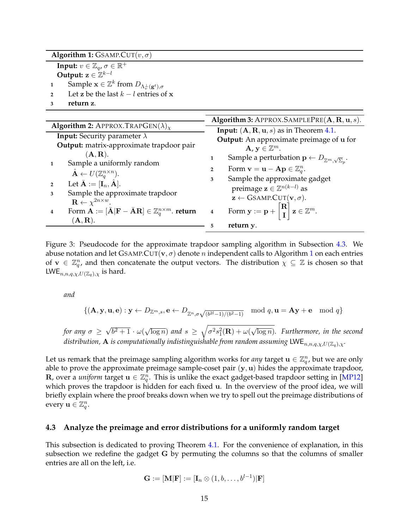| <b>Algorithm 1:</b> GSAMP.CUT $(v, \sigma)$                                             |
|-----------------------------------------------------------------------------------------|
| <b>Input:</b> $v \in \mathbb{Z}_q$ , $\sigma \in \mathbb{R}^+$                          |
| Output: $z \in \mathbb{Z}^{k-l}$                                                        |
| Sample $\mathbf{x} \in \mathbb{Z}^k$ from $D_{\Lambda_n^{\perp}(\mathbf{g}^t), \sigma}$ |
| Let z be the last $k-l$ entries of x                                                    |

<span id="page-16-3"></span><span id="page-16-2"></span>**<sup>3</sup> return** z*.*

<span id="page-16-1"></span>

|                                                                                                                         | Algorithm 3: APPROX.SAMPLEPRE $(A, R, u, s)$ .                                               |  |  |  |  |
|-------------------------------------------------------------------------------------------------------------------------|----------------------------------------------------------------------------------------------|--|--|--|--|
| <b>Algorithm 2:</b> APPROX.TRAPGEN( $\lambda$ ) <sub>x</sub>                                                            | <b>Input:</b> $(A, R, u, s)$ as in Theorem 4.1.                                              |  |  |  |  |
| <b>Input:</b> Security parameter $\lambda$                                                                              | <b>Output:</b> An approximate preimage of u for                                              |  |  |  |  |
| Output: matrix-approximate trapdoor pair                                                                                | $\mathbf{A}, \mathbf{y} \in \mathbb{Z}^m$ .                                                  |  |  |  |  |
| (A,R).                                                                                                                  | Sample a perturbation $\mathbf{p} \leftarrow D_{\mathbb{Z}^m, \sqrt{\Sigma}_n}$ .            |  |  |  |  |
| Sample a uniformly random                                                                                               | Form $\mathbf{v} = \mathbf{u} - \mathbf{A}\mathbf{p} \in \mathbb{Z}_q^n$ .<br>$\overline{2}$ |  |  |  |  |
| $\hat{\mathbf{A}} \leftarrow U(\mathbb{Z}_a^{n \times n}).$                                                             |                                                                                              |  |  |  |  |
| Let $\bar{\mathbf{A}} := [\mathbf{I}_n, \hat{\mathbf{A}}].$                                                             | Sample the approximate gadget<br>3                                                           |  |  |  |  |
| Sample the approximate trapdoor<br>3                                                                                    | preimage $\mathbf{z} \in \mathbb{Z}^{n(k-l)}$ as                                             |  |  |  |  |
| $\mathbf{R} \leftarrow \chi^{2n \times w}$ .                                                                            | $\mathbf{z} \leftarrow \text{GSAMP.}$ CUT $(\mathbf{v}, \sigma)$ .                           |  |  |  |  |
| Form $\mathbf{A} := [\bar{\mathbf{A}}] \mathbf{F} - \bar{\mathbf{A}} \mathbf{R} \in \mathbb{Z}_q^{n \times m}$ . return | Form $y := p + \begin{bmatrix} R \\ I \end{bmatrix} z \in \mathbb{Z}^m$ .<br>$\overline{4}$  |  |  |  |  |
| $(\mathbf{A}, \mathbf{R})$ .                                                                                            |                                                                                              |  |  |  |  |
|                                                                                                                         | return y.                                                                                    |  |  |  |  |

<span id="page-16-4"></span>Figure 3: Pseudocode for the approximate trapdoor sampling algorithm in Subsection [4.3.](#page-16-0) We abuse notation and let GSAMP.CUT( $\mathbf{v}, \sigma$ ) denote *n* independent calls to Algorithm [1](#page-16-3) on each entries of  $\mathbf{v} \in \mathbb{Z}_q^n$ , and then concatenate the output vectors. The distribution  $\chi \subseteq \mathbb{Z}$  is chosen so that LWE<sub>n,n,q, $x$ </sub>, $U(\mathbb{Z}_q)$ , $\chi$  is hard.

*and*

$$
\{(\mathbf{A}, \mathbf{y}, \mathbf{u}, \mathbf{e}) : \mathbf{y} \leftarrow D_{\mathbb{Z}^m, s}, \mathbf{e} \leftarrow D_{\mathbb{Z}^n, \sigma \sqrt{(b^{2l}-1)/(b^2-1)}} \mod q, \mathbf{u} = \mathbf{A}\mathbf{y} + \mathbf{e} \mod q\}
$$

*for any* σ ≥ √  $\sqrt{b^2+1}\cdot\omega(\sqrt{c})$  $\overline{\log n})$  and  $s \geq \sqrt{\sigma^2 s_1^2({\bf R}) + \omega(1)}$ √ log n)*. Furthermore, in the second distribution,* A *is computationally indistinguishable from random assuming*  $LWE_{n,n,q,\chi,U(\mathbb{Z}_q),\chi}$ .

Let us remark that the preimage sampling algorithm works for *any* target  $\mathbf{u} \in \mathbb{Z}_q^n$ , but we are only able to prove the approximate preimage sample-coset pair  $(y, u)$  hides the approximate trapdoor, R, over a *uniform* target  $u \in \mathbb{Z}_q^n$ . This is unlike the exact gadget-based trapdoor setting in [\[MP12\]](#page-27-1) which proves the trapdoor is hidden for each fixed u. In the overview of the proof idea, we will briefly explain where the proof breaks down when we try to spell out the preimage distributions of every  $\mathbf{u} \in \mathbb{Z}_q^n$ .

#### <span id="page-16-0"></span>**4.3 Analyze the preimage and error distributions for a uniformly random target**

This subsection is dedicated to proving Theorem [4.1.](#page-15-1) For the convenience of explanation, in this subsection we redefine the gadget G by permuting the columns so that the columns of smaller entries are all on the left, i.e.

$$
\mathbf{G}:=[\mathbf{M}|\mathbf{F}]:=[\mathbf{I}_n\otimes(1,b,\ldots,b^{l-1})|\mathbf{F}]
$$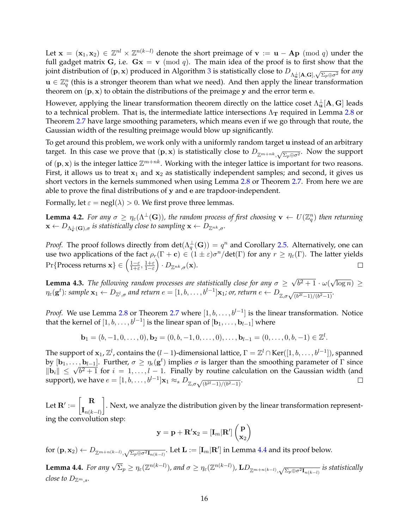Let  $\mathbf{x} = (\mathbf{x}_1, \mathbf{x}_2) \in \mathbb{Z}^{nl} \times \mathbb{Z}^{n(k-l)}$  denote the short preimage of  $\mathbf{v} := \mathbf{u} - \mathbf{Ap} \pmod{q}$  under the full gadget matrix G, i.e.  $Gx = v \pmod{q}$ . The main idea of the proof is to first show that the joint distribution of  $({\bf p},{\bf x})$  produced in Algorithm [3](#page-16-4) is statistically close to  $D_{\Lambda^{\perp}_{\bf u}}[{\bf A},{\bf G}], \sqrt{\Sigma_p\oplus\sigma^2}$  for any  $\mathbf{u} \in \mathbb{Z}_q^n$  (this is a stronger theorem than what we need). And then apply the linear transformation theorem on  $(p, x)$  to obtain the distributions of the preimage y and the error term e.

However, applying the linear transformation theorem directly on the lattice coset  $\Lambda_\mathbf{u}^\perp[\mathbf{A},\mathbf{G}]$  leads to a technical problem. That is, the intermediate lattice intersections  $\Lambda_{\rm T}$  required in Lemma [2.8](#page-10-1) or Theorem [2.7](#page-10-2) have large smoothing parameters, which means even if we go through that route, the Gaussian width of the resulting preimage would blow up significantly.

To get around this problem, we work only with a uniformly random target u instead of an arbitrary target. In this case we prove that  $(p, x)$  is statistically close to  $D_{\mathbb{Z}^{m+nk}, \sqrt{\Sigma_p \oplus \sigma^2}}$ . Now the support of  $(p, x)$  is the integer lattice  $\mathbb{Z}^{m+nk}$ . Working with the integer lattice is important for two reasons. First, it allows us to treat  $x_1$  and  $x_2$  as statistically independent samples; and second, it gives us short vectors in the kernels summoned when using Lemma [2.8](#page-10-1) or Theorem [2.7.](#page-10-2) From here we are able to prove the final distributions of y and e are trapdoor-independent.

Formally, let  $\varepsilon = \text{negl}(\lambda) > 0$ . We first prove three lemmas.

<span id="page-17-1"></span>**Lemma 4.2.** For any  $\sigma \ge \eta_\varepsilon(\Lambda^\perp(G))$ , the random process of first choosing  $\mathbf{v} \leftarrow U(\mathbb{Z}_q^n)$  then returning  $\mathbf{x} \leftarrow D_{\Lambda_{\mathbf{v}}^{\perp}(\mathbf{G}), \sigma}$  *is statistically close to sampling*  $\mathbf{x} \leftarrow D_{\mathbb{Z}^{nk}, \sigma}$ *.* 

*Proof.* The proof follows directly from  $\det(\Lambda_q^\perp(\mathbf{G})) = q^n$  and Corollary [2.5.](#page-10-3) Alternatively, one can use two applications of the fact  $\rho_r(\Gamma + \mathbf{c}) \in (1 \pm \varepsilon)\sigma^n/\text{det}(\Gamma)$  for any  $r \geq \eta_{\varepsilon}(\Gamma)$ . The latter yields Pr{Process returns  $\mathbf{x}\}\in\left(\frac{1-\varepsilon}{1+\varepsilon}\right)$  $\frac{1-\varepsilon}{1+\varepsilon}, \frac{1+\varepsilon}{1-\varepsilon}\Big) \cdot D_{\mathbb{Z}^{nk},\sigma}(\mathbf{x}).$  $\Box$ 

<span id="page-17-2"></span>**Lemma 4.3.** *The following random processes are statistically close for any*  $\sigma \geq$ √  $\sqrt{b^2+1}\cdot\omega(\sqrt{b^2+1})$  $\overline{\log n}$ )  $\geq$  $\eta_{\varepsilon}(\mathbf{g}^t)$ : sample  $\mathbf{x}_1 \leftarrow D_{\mathbb{Z}^l, \sigma}$  and return  $e = [1, b, \ldots, b^{l-1}] \mathbf{x}_1$ ; or, return  $e \leftarrow D_{\mathbb{Z}, \sigma \sqrt{(b^{2l}-1)/(b^2-1)}}$ .

*Proof.* We use Lemma [2.8](#page-10-1) or Theorem [2.7](#page-10-2) where  $[1, b, \ldots, b^{l-1}]$  is the linear transformation. Notice that the kernel of  $[1, b, \ldots, b^{l-1}]$  is the linear span of  $[\mathbf{b}_1, \ldots, \mathbf{b}_{l-1}]$  where

$$
\mathbf{b}_1 = (b,-1,0,\ldots,0), \mathbf{b}_2 = (0,b,-1,0,\ldots,0), \ldots, \mathbf{b}_{l-1} = (0,\ldots,0,b,-1) \in \mathbb{Z}^l.
$$

The support of  $\mathbf{x}_1$ ,  $\mathbb{Z}^l$ , contains the (l – 1)-dimensional lattice,  $\Gamma=\mathbb{Z}^l\cap\text{Ker}([1,b,\ldots,b^{l-1}])$ , spanned by  $[\mathbf{b}_1,\ldots,\mathbf{b}_{l-1}]$ . Further,  $\sigma \geq \eta_\epsilon(\mathbf{g}^t)$  implies  $\sigma$  is larger than the smoothing parameter of  $\Gamma$  since by  $[\mathbf{b}_1,\ldots,\mathbf{b}_{l-1}]$ . Furtner,  $\sigma \geq \eta_{\epsilon}(\mathbf{g}^{\sigma})$  implies  $\sigma$  is larger than the smoothing parameter of 1 since  $||\mathbf{b}_i|| \leq \sqrt{b^2+1}$  for  $i = 1,\ldots,l-1$ . Finally by routine calculation on the Gaussian width (an support), we have  $e = [1, b, \dots, b^{l-1}] \mathbf{x}_1 \approx_s D_{\mathbb{Z}, \sigma \sqrt{(b^{2l}-1)/(b^2-1)}}$ .  $\Box$ 

Let  $\mathbf{R}':=\begin{bmatrix} \mathbf{R} \ \mathbf{r} \end{bmatrix}$  ${\bf I}_{n(k-l)}$ 1 . Next, we analyze the distribution given by the linear transformation representing the convolution step:

$$
\mathbf{y} = \mathbf{p} + \mathbf{R}'\mathbf{x}_2 = [\mathbf{I}_m | \mathbf{R}']\begin{pmatrix} \mathbf{p} \\ \mathbf{x}_2 \end{pmatrix}
$$

for  $(\mathbf{p}, \mathbf{x}_2) \leftarrow D_{\mathbb{Z}^{m+n(k-l)}}, \sqrt{\Sigma_p \oplus \sigma^2 \mathbf{I}_{n(k-l)}}$ . Let  $\mathbf{L} := [\mathbf{I}_m | \mathbf{R}']$  in Lemma [4.4](#page-17-0) and its proof below.

<span id="page-17-0"></span>**Lemma 4.4.** *For any*  $\sqrt{\Sigma_p} \ge \eta_\varepsilon(\mathbb{Z}^{n(k-l)}),$  and  $\sigma \ge \eta_\varepsilon(\mathbb{Z}^{n(k-l)}),$   $\mathbf{L}D_{\mathbb{Z}^{m+n(k-l)},\sqrt{\Sigma_p\oplus\sigma^2\mathbf{I}_{n(k-l)}}}$  is statistically *close to*  $D_{\mathbb{Z}^m}$ <sub>s</sub>.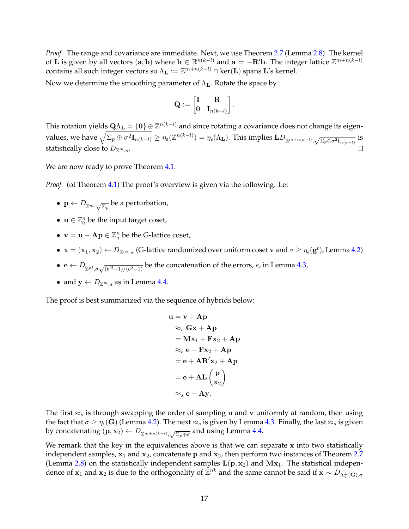*Proof.* The range and covariance are immediate. Next, we use Theorem [2.7](#page-10-2) (Lemma [2.8\)](#page-10-1). The kernel of L is given by all vectors  $(a, b)$  where  $b \in \mathbb{R}^{n(k-l)}$  and  $a = -R'b$ . The integer lattice  $\mathbb{Z}^{m+n(k-l)}$ contains all such integer vectors so  $\Lambda_{\mathbf{L}} := \mathbb{Z}^{m+n(k-l)} \cap \ker(\mathbf{L})$  spans  $\mathbf{L}'$ s kernel.

Now we determine the smoothing parameter of  $\Lambda_{\mathbf{L}}$ . Rotate the space by

$$
\mathbf{Q}:=\begin{bmatrix}\mathbf{I} & \mathbf{R} \\ \mathbf{0} & \mathbf{I}_{n(k-l)}\end{bmatrix}.
$$

This rotation yields  ${\bf Q}\Lambda_{\bf L}=\{{\bf 0}\}\oplus\mathbb{Z}^{n(k-l)}$  and since rotating a covariance does not change its eigenvalues, we have  $\sqrt{\Sigma_p\oplus\sigma^2\mathbf{I}_{n(k-l)}}\geq\eta_\varepsilon(\mathbb{Z}^{n(k-l)})=\eta_\epsilon(\Lambda_{\mathbf{L}}).$  This implies  $\mathbf{L} D_{\mathbb{Z}^{m+n(k-l)},\sqrt{\Sigma_p\oplus\sigma^2\mathbf{I}_{n(k-l)}}}$  is statistically close to  $D_{\mathbb{Z}^m.s.}$ 

We are now ready to prove Theorem [4.1.](#page-15-1)

*Proof.* (of Theorem [4.1\)](#page-15-1) The proof's overview is given via the following. Let

- $\mathbf{p} \leftarrow D_{\mathbb{Z}^m,\sqrt{\Sigma_p}}$  be a perturbation,
- $\mathbf{u} \in \mathbb{Z}_q^n$  be the input target coset,
- $\mathbf{v} = \mathbf{u} \mathbf{A}\mathbf{p} \in \mathbb{Z}_q^n$  be the G-lattice coset,
- $\mathbf{x} = (\mathbf{x}_1, \mathbf{x}_2) \leftarrow D_{\mathbb{Z}^{nk}, \sigma}$  (G-lattice randomized over uniform coset v and  $\sigma \ge \eta_{\epsilon}(\mathbf{g}^t)$ , Lemma [4.2\)](#page-17-1)
- $e \leftarrow D_{\mathbb{Z}^{nl}, \sigma \sqrt{(b^{2l}-1)/(b^2-1)}}$  be the concatenation of the errors, e, in Lemma [4.3,](#page-17-2)
- and  $y \leftarrow D_{\mathbb{Z}^m,s}$  as in Lemma [4.4.](#page-17-0)

The proof is best summarized via the sequence of hybrids below:

$$
u = v + Ap
$$
  
\n
$$
\approx_s Gx + Ap
$$
  
\n
$$
= Mx_1 + Fx_2 + Ap
$$
  
\n
$$
\approx_s e + Fx_2 + Ap
$$
  
\n
$$
= e + AR'x_2 + Ap
$$
  
\n
$$
= e + AL\begin{pmatrix} p \\ x_2 \end{pmatrix}
$$
  
\n
$$
\approx_s e + Ay.
$$

The first  $\approx_s$  is through swapping the order of sampling u and v uniformly at random, then using the fact that  $\sigma \ge \eta_\epsilon(G)$  (Lemma [4.2\)](#page-17-1). The next  $\approx_s$  is given by Lemma [4.3.](#page-17-2) Finally, the last  $\approx_s$  is given by concatenating  $(\mathbf{p}, \mathbf{x}_2) \leftarrow D_{\mathbb{Z}^{m+n(k-l)}}, \sqrt{\Sigma_p \oplus \sigma}$  and using Lemma [4.4.](#page-17-0)

We remark that the key in the equivalences above is that we can separate x into two statistically independent samples,  $x_1$  and  $x_2$ , concatenate p and  $x_2$ , then perform two instances of Theorem [2.7](#page-10-2) (Lemma [2.8\)](#page-10-1) on the statistically independent samples  $L(p, x_2)$  and  $Mx_1$ . The statistical independence of  $x_1$  and  $x_2$  is due to the orthogonality of  $\bar{Z}^{nk}$  and the same cannot be said if  $x \sim D_{\Lambda_v^{\perp}}(G)$ , $\sigma$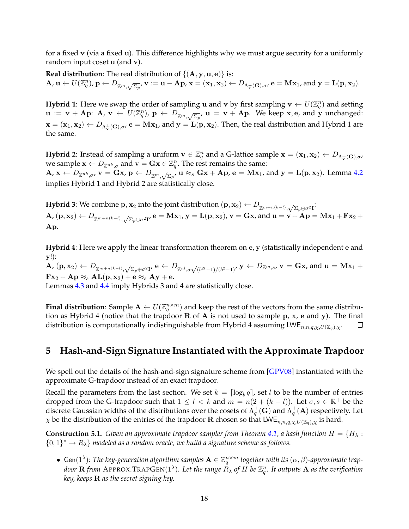for a fixed v (via a fixed u). This difference highlights why we must argue security for a uniformly random input coset u (and v).

**Real distribution:** The real distribution of  $\{(\mathbf{A}, \mathbf{y}, \mathbf{u}, \mathbf{e})\}$  is:  $\mathbf{A}, \mathbf{u} \leftarrow U(\mathbb{Z}_q^n)$ ,  $\mathbf{p} \leftarrow D_{\mathbb{Z}^m, \sqrt{\Sigma_p}}, \mathbf{v} := \mathbf{u} - \mathbf{A}\mathbf{p}, \mathbf{x} = (\mathbf{x}_1, \mathbf{x}_2) \leftarrow D_{\Lambda^{\perp}_{\mathbf{v}}(\mathbf{G}), \sigma}, \mathbf{e} = \mathbf{M}\mathbf{x}_1$ , and  $\mathbf{y} = \mathbf{L}(\mathbf{p}, \mathbf{x}_2)$ .

**Hybrid 1**: Here we swap the order of sampling **u** and **v** by first sampling  $\mathbf{v} \leftarrow U(\mathbb{Z}_q^n)$  and setting  $\mathbf{u} := \mathbf{v} + \mathbf{A} \mathbf{p}$ :  $\mathbf{A}, \mathbf{v} \leftarrow U(\mathbb{Z}_q^n)$ ,  $\mathbf{p} \leftarrow D_{\mathbb{Z}^m, \sqrt{\Sigma_p}}$ ,  $\mathbf{u} = \mathbf{v} + \mathbf{A} \mathbf{p}$ . We keep x, e, and y unchanged:  $\mathbf{x} = (\mathbf{x}_1, \mathbf{x}_2) \leftarrow D_{\Lambda_v^{\perp}(\mathbf{G}), \sigma}$ ,  $\mathbf{e} = \mathbf{M}\mathbf{x}_1$ , and  $\mathbf{y} = \mathbf{L}(\mathbf{p}, \mathbf{x}_2)$ . Then, the real distribution and Hybrid 1 are the same.

**Hybrid 2**: Instead of sampling a uniform  $\mathbf{v} \in \mathbb{Z}_q^n$  and a G-lattice sample  $\mathbf{x} = (\mathbf{x}_1, \mathbf{x}_2) \leftarrow D_{\Lambda_{\mathbf{v}}^{\perp}(\mathbf{G}), \sigma}$ we sample  $\mathbf{x} \leftarrow D_{\mathbb{Z}^{nk},\sigma}$  and  $\mathbf{v} = \mathbf{Gx} \in \mathbb{Z}_q^n$ . The rest remains the same:  $\mathbf{A}, \mathbf{x} \leftarrow D_{\mathbb{Z}^{nk}, \sigma}, \mathbf{v} = \mathbf{Gx}, \mathbf{p} \leftarrow D_{\mathbb{Z}^m, \sqrt{\Sigma_p}}, \mathbf{u} \approx_s \mathbf{Gx} + \mathbf{Ap}, \mathbf{e} = \mathbf{Mx}_1$ , and  $\mathbf{y} = \mathbf{L}(\mathbf{p}, \mathbf{x}_2)$ . Lemma [4.2](#page-17-1) implies Hybrid 1 and Hybrid 2 are statistically close.

**Hybrid 3**: We combine  $p, x_2$  into the joint distribution  $(p, x_2) \leftarrow D_{\mathbb{Z}^{m+n(k-l)}, \sqrt{\Sigma_p \oplus \sigma^2 \mathbf{I}}};$  $\mathbf{A}, (\mathbf{p}, \mathbf{x}_2) \leftarrow D_{\mathbb{Z}^{m+n(k-l)}}, \sqrt{\Sigma_p \oplus \sigma^2 \mathbf{I}}, \mathbf{e} = \mathbf{M} \mathbf{x}_1, \mathbf{y} = \mathbf{L}(\mathbf{p}, \mathbf{x}_2), \mathbf{v} = \mathbf{G} \mathbf{x}$ , and  $\mathbf{u} = \mathbf{v} + \mathbf{A} \mathbf{p} = \mathbf{M} \mathbf{x}_1 + \mathbf{F} \mathbf{x}_2 + \mathbf{F} \mathbf{p}$ Ap.

**Hybrid 4**: Here we apply the linear transformation theorem on e, y (statistically independent e and y!):

 $\mathbf{A}, (\mathbf{p}, \mathbf{x}_2) \leftarrow D_{\mathbb{Z}^{m+n(k-l)}}, \sqrt{\Sigma_p \oplus \sigma^2 \mathbf{I}'} \mathbf{e} \leftarrow D_{\mathbb{Z}^{nl}, \sigma \sqrt{(b^{2l}-1)/(b^{2}-1)}'} \mathbf{y} \leftarrow D_{\mathbb{Z}^{m}, s}, \mathbf{v} = \mathbf{Gx}, \text{and } \mathbf{u} = \mathbf{Mx}_1 + \mathbf{Mx}_2 + \mathbf{Mx}_3$  $\mathbf{F} \mathbf{x}_2 + \mathbf{A} \mathbf{p} \approx_s \mathbf{A} \mathbf{L}(\mathbf{p}, \mathbf{x}_2) + \mathbf{e} \approx_s \mathbf{A} \mathbf{y} + \mathbf{e}.$ 

Lemmas [4.3](#page-17-2) and [4.4](#page-17-0) imply Hybrids 3 and 4 are statistically close.

**Final distribution**: Sample  $A \leftarrow U(\mathbb{Z}_q^{n \times m})$  and keep the rest of the vectors from the same distribution as Hybrid 4 (notice that the trapdoor  $R$  of  $A$  is not used to sample  $p$ ,  $x$ ,  $e$  and  $y$ ). The final distribution is computationally indistinguishable from Hybrid 4 assuming  $LWE_{n,n,q,\chi,U(\mathbb{Z}_q),\chi}.$  $\Box$ 

## <span id="page-19-0"></span>**5 Hash-and-Sign Signature Instantiated with the Approximate Trapdoor**

We spell out the details of the hash-and-sign signature scheme from [\[GPV08\]](#page-26-3) instantiated with the approximate G-trapdoor instead of an exact trapdoor.

Recall the parameters from the last section. We set  $k = \lceil \log_b q \rceil$ , set l to be the number of entries dropped from the G-trapdoor such that  $1 \leq l \leq k$  and  $m = n(2 + (k - l))$ . Let  $\sigma, s \in \mathbb{R}^+$  be the discrete Gaussian widths of the distributions over the cosets of  $\Lambda_q^\pm({\bf G})$  and  $\Lambda_q^\pm({\bf A})$  respectively. Let  $\chi$  be the distribution of the entries of the trapdoor **R** chosen so that  $LWE_{n,n,q,\chi,U(\mathbb{Z}_q),\chi}$  is hard.

<span id="page-19-1"></span>**Construction 5.1.** *Given an approximate trapdoor sampler from Theorem [4.1,](#page-15-1) a hash function*  $H = \{H_{\lambda} :$  ${0,1}^* \rightarrow R_\lambda$  *modeled as a random oracle, we build a signature scheme as follows.* 

•  $Gen(1^{\lambda})$ : The key-generation algorithm samples  $\mathbf{A} \in \mathbb{Z}_q^{n \times m}$  together with its  $(\alpha, \beta)$ -approximate trapdoor  ${\bf R}$  from APPROX.TRAP ${\rm Gen}(1^\lambda)$ . Let the range  $\hat{R}_\lambda$  of  $H$  be  $\mathbb{Z}_q^n$ . It outputs  ${\bf A}$  as the verification *key, keeps* R *as the secret signing key.*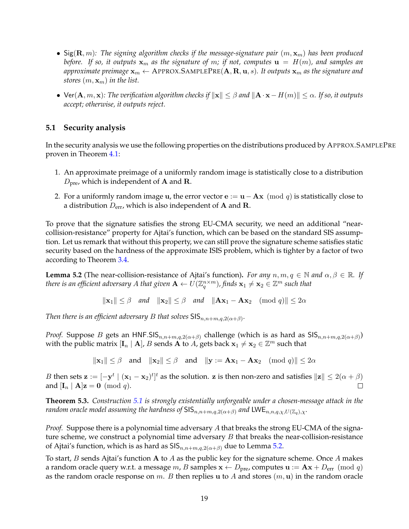- Sig $(\mathbf{R}, m)$ : The signing algorithm checks if the message-signature pair  $(m, \mathbf{x}_m)$  has been produced *before.* If so, it outputs  $\mathbf{x}_m$  as the signature of m; if not, computes  $\mathbf{u} = H(m)$ , and samples an *approximate preimage*  $\mathbf{x}_m \leftarrow$  APPROX.SAMPLE $\text{PRE}(\mathbf{A}, \mathbf{R}, \mathbf{u}, s)$ . It outputs  $\mathbf{x}_m$  as the signature and *stores*  $(m, \mathbf{x}_m)$  *in the list.*
- Ver( $\mathbf{A}, m, \mathbf{x}$ )*: The verification algorithm checks if*  $\|\mathbf{x}\| \leq \beta$  *and*  $\|\mathbf{A} \cdot \mathbf{x} H(m)\| \leq \alpha$ . If so, it outputs *accept; otherwise, it outputs reject.*

### <span id="page-20-0"></span>**5.1 Security analysis**

In the security analysis we use the following properties on the distributions produced by APPROX.SAMPLEPRE proven in Theorem [4.1:](#page-15-1)

- 1. An approximate preimage of a uniformly random image is statistically close to a distribution  $D_{\text{pre}}$ , which is independent of **A** and **R**.
- 2. For a uniformly random image u, the error vector  $\mathbf{e} := \mathbf{u} \mathbf{A}\mathbf{x} \pmod{q}$  is statistically close to a distribution  $D_{\text{err}}$ , which is also independent of **A** and **R**.

To prove that the signature satisfies the strong EU-CMA security, we need an additional "nearcollision-resistance" property for Ajtai's function, which can be based on the standard SIS assumption. Let us remark that without this property, we can still prove the signature scheme satisfies static security based on the hardness of the approximate ISIS problem, which is tighter by a factor of two according to Theorem [3.4.](#page-13-0)

<span id="page-20-1"></span>**Lemma 5.2** (The near-collision-resistance of Ajtai's function). *For any*  $n, m, q \in \mathbb{N}$  and  $\alpha, \beta \in \mathbb{R}$ *. If there is an efficient adversary A that given*  $\mathbf{A} \leftarrow U(\mathbb{Z}_q^{n\times m})$ *, finds*  $\mathbf{x}_1\neq \mathbf{x}_2\in\mathbb{Z}^m$  *such that* 

 $\|\mathbf{x}_1\| \leq \beta$  *and*  $\|\mathbf{x}_2\| \leq \beta$  *and*  $\|\mathbf{Ax}_1 - \mathbf{Ax}_2 \pmod{q}\| \leq 2\alpha$ 

*Then there is an efficient adversary B that solves*  $\mathsf{SIS}_{n,n+m,q,2(\alpha+\beta)}$ *.* 

*Proof.* Suppose B gets an HNF.SIS $_{n,n+m,q,2(\alpha+\beta)}$  challenge (which is as hard as SIS $_{n,n+m,q,2(\alpha+\beta)}$ ) with the public matrix  $[\mathbf{I}_n \mid \mathbf{A}]$ , B sends  $\overrightarrow{\mathbf{A}}$  to  $\overrightarrow{A}$ , gets back  $\mathbf{x}_1 \neq \mathbf{x}_2 \in \mathbb{Z}^m$  such that

 $\|\mathbf{x}_1\| \leq \beta$  and  $\|\mathbf{x}_2\| \leq \beta$  and  $\|\mathbf{y} := \mathbf{A}\mathbf{x}_1 - \mathbf{A}\mathbf{x}_2$  (mod q) $\|\leq 2\alpha$ 

*B* then sets  $\mathbf{z} := [-\mathbf{y}^t \mid (\mathbf{x}_1 - \mathbf{x}_2)^t]^t$  as the solution.  $\mathbf{z}$  is then non-zero and satisfies  $\|\mathbf{z}\| \le 2(\alpha + \beta)$ and  $[I_n | A]z = 0 \pmod{q}$ .

**Theorem 5.3.** *Construction [5.1](#page-19-1) is strongly existentially unforgeable under a chosen-message attack in the random oracle model assuming the hardness of*  $SIS_{n,n+m,q,2(\alpha+\beta)}$  *and*  $LWE_{n,n,q,\chi,U(\mathbb{Z}_q),\chi}$ .

*Proof.* Suppose there is a polynomial time adversary A that breaks the strong EU-CMA of the signature scheme, we construct a polynomial time adversary  $B$  that breaks the near-collision-resistance of Ajtai's function, which is as hard as  $\text{SIS}_{n,n+m,q,2(\alpha+\beta)}$  due to Lemma [5.2.](#page-20-1)

To start,  $B$  sends Ajtai's function  $A$  to  $A$  as the public key for the signature scheme. Once  $A$  makes a random oracle query w.r.t. a message m, B samples  $\mathbf{x} \leftarrow D_{\text{pre}}$ , computes  $\mathbf{u} := \mathbf{A}\mathbf{x} + D_{\text{err}} \pmod{q}$ as the random oracle response on m. B then replies u to A and stores  $(m, u)$  in the random oracle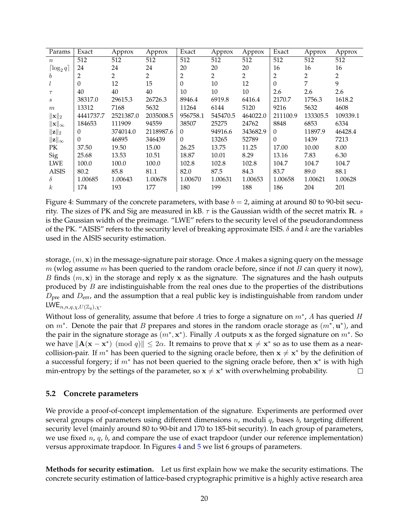| Params                       | Exact     | Approx    | Approx         | Exact    | Approx   | Approx         | Exact    | Approx         | Approx   |
|------------------------------|-----------|-----------|----------------|----------|----------|----------------|----------|----------------|----------|
| $\boldsymbol{n}$             | 512       | 512       | 512            | 512      | 512      | 512            | 512      | 512            | 512      |
| $\lceil \log_2 q \rceil$     | 24        | 24        | 24             | 20       | 20       | 20             | 16       | 16             | 16       |
| b                            | 2         | 2         | $\overline{2}$ | 2        | 2        | $\overline{2}$ | 2        | $\overline{2}$ | 2        |
|                              | $\Omega$  | 12        | 15             | $\theta$ | 10       | 12             | $\theta$ | 7              | 9        |
| $\tau$                       | 40        | 40        | 40             | 10       | 10       | 10             | 2.6      | 2.6            | 2.6      |
| $\boldsymbol{s}$             | 38317.0   | 29615.3   | 26726.3        | 8946.4   | 6919.8   | 6416.4         | 2170.7   | 1756.3         | 1618.2   |
| m                            | 13312     | 7168      | 5632           | 11264    | 6144     | 5120           | 9216     | 5632           | 4608     |
| $\ \mathbf{x}\ _2$           | 4441737.7 | 2521387.0 | 2035008.5      | 956758.1 | 545470.5 | 464022.0       | 211100.9 | 133305.5       | 109339.1 |
| $\ \mathbf{x}\ _{\infty}$    | 184653    | 111909    | 94559          | 38507    | 25275    | 24762          | 8848     | 6853           | 6334     |
| $\lVert \mathbf{z} \rVert_2$ | $\theta$  | 374014.0  | 2118987.6      | $\theta$ | 94916.6  | 343682.9       | $\theta$ | 11897.9        | 46428.4  |
| $\ \mathbf{z}\ _{\infty}$    | $\Omega$  | 46895     | 346439         | $\theta$ | 13265    | 52789          | $\theta$ | 1439           | 7213     |
| PК                           | 37.50     | 19.50     | 15.00          | 26.25    | 13.75    | 11.25          | 17.00    | 10.00          | 8.00     |
| <b>Sig</b>                   | 25.68     | 13.53     | 10.51          | 18.87    | 10.01    | 8.29           | 13.16    | 7.83           | 6.30     |
| <b>LWE</b>                   | 100.0     | 100.0     | 100.0          | 102.8    | 102.8    | 102.8          | 104.7    | 104.7          | 104.7    |
| <b>AISIS</b>                 | 80.2      | 85.8      | 81.1           | 82.0     | 87.5     | 84.3           | 83.7     | 89.0           | 88.1     |
| $\delta$                     | 1.00685   | 1.00643   | 1.00678        | 1.00670  | 1.00631  | 1.00653        | 1.00658  | 1.00621        | 1.00628  |
| $\boldsymbol{k}$             | 174       | 193       | 177            | 180      | 199      | 188            | 186      | 204            | 201      |

<span id="page-21-1"></span>Figure 4: Summary of the concrete parameters, with base  $b = 2$ , aiming at around 80 to 90-bit security. The sizes of PK and Sig are measured in kB.  $\tau$  is the Gaussian width of the secret matrix **R**. s is the Gaussian width of the preimage. "LWE" refers to the security level of the pseudorandomness of the PK. "AISIS" refers to the security level of breaking approximate ISIS.  $\delta$  and k are the variables used in the AISIS security estimation.

storage,  $(m, x)$  in the message-signature pair storage. Once A makes a signing query on the message m (wlog assume m has been queried to the random oracle before, since if not  $B$  can query it now), B finds  $(m, x)$  in the storage and reply x as the signature. The signatures and the hash outputs produced by  $B$  are indistinguishable from the real ones due to the properties of the distributions  $D_{\text{pre}}$  and  $D_{\text{err}}$ , and the assumption that a real public key is indistinguishable from random under LWE $_{n,n,q,\chi,U(\mathbb{Z}_q),\chi}.$ 

Without loss of generality, assume that before A tries to forge a signature on  $m^*$ , A has queried H on  $m^*$ . Denote the pair that B prepares and stores in the random oracle storage as  $(m^*, \mathbf{u}^*)$ , and the pair in the signature storage as  $(m^*, \mathbf{x}^*)$ . Finally A outputs x as the forged signature on  $m^*$ . So we have  $\|\mathbf{A}(\mathbf{x} - \mathbf{x}^*)\| \pmod q$   $\|\leq 2\alpha$ . It remains to prove that  $\mathbf{x} \neq \mathbf{x}^*$  so as to use them as a nearcollision-pair. If  $m^*$  has been queried to the signing oracle before, then  $x \neq x^*$  by the definition of a successful forgery; if  $m^*$  has not been queried to the signing oracle before, then  $x^*$  is with high min-entropy by the settings of the parameter, so  $x \neq x^*$  with overwhelming probability.  $\Box$ 

### <span id="page-21-0"></span>**5.2 Concrete parameters**

We provide a proof-of-concept implementation of the signature. Experiments are performed over several groups of parameters using different dimensions  $n$ , moduli  $q$ , bases  $b$ , targeting different security level (mainly around 80 to 90-bit and 170 to 185-bit security). In each group of parameters, we use fixed  $n$ ,  $q$ ,  $b$ , and compare the use of exact trapdoor (under our reference implementation) versus approximate trapdoor. In Figures [4](#page-21-1) and [5](#page-22-0) we list 6 groups of parameters.

**Methods for security estimation.** Let us first explain how we make the security estimations. The concrete security estimation of lattice-based cryptographic primitive is a highly active research area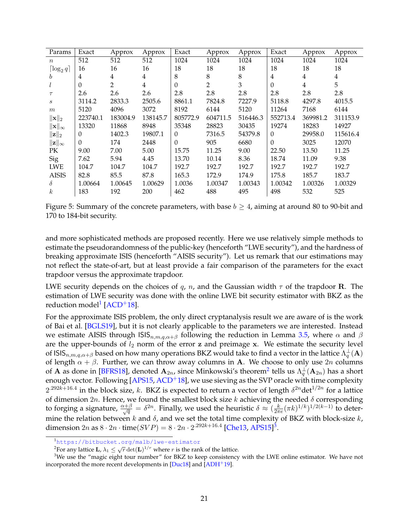| Params                    | Exact    | Approx         | Approx   | Exact    | Approx         | Approx   | Exact          | Approx         | Approx         |
|---------------------------|----------|----------------|----------|----------|----------------|----------|----------------|----------------|----------------|
| $\boldsymbol{n}$          | 512      | 512            | 512      | 1024     | 1024           | 1024     | 1024           | 1024           | 1024           |
| $\lceil \log_2 q \rceil$  | 16       | 16             | 16       | 18       | 18             | 18       | 18             | 18             | 18             |
| b                         | 4        | $\overline{4}$ | 4        | 8        | 8              | 8        | $\overline{4}$ | $\overline{4}$ | $\overline{4}$ |
|                           | 0        | $\overline{2}$ | 4        | $\Omega$ | $\overline{2}$ | 3        | $\Omega$       | $\overline{4}$ | 5              |
| $\tau$                    | 2.6      | 2.6            | 2.6      | 2.8      | 2.8            | 2.8      | 2.8            | 2.8            | 2.8            |
| S                         | 3114.2   | 2833.3         | 2505.6   | 8861.1   | 7824.8         | 7227.9   | 5118.8         | 4297.8         | 4015.5         |
| m                         | 5120     | 4096           | 3072     | 8192     | 6144           | 5120     | 11264          | 7168           | 6144           |
| $\ \mathbf{x}\ _2$        | 223740.1 | 183004.9       | 138145.7 | 805772.9 | 604711.5       | 516446.3 | 552713.4       | 369981.2       | 311153.9       |
| $\ \mathbf{x}\ _{\infty}$ | 13320    | 11868          | 8948     | 35348    | 28823          | 30435    | 19274          | 18283          | 14927          |
| $\ \mathbf{z}\ _2$        | 0        | 1402.3         | 19807.1  | $\Omega$ | 7316.5         | 54379.8  | $\Omega$       | 29958.0        | 115616.4       |
| $\ \mathbf{z}\ _{\infty}$ | $\Omega$ | 174            | 2448     | $\Omega$ | 905            | 6680     | $\Omega$       | 3025           | 12070          |
| PK                        | 9.00     | 7.00           | 5.00     | 15.75    | 11.25          | 9.00     | 22.50          | 13.50          | 11.25          |
| Sig                       | 7.62     | 5.94           | 4.45     | 13.70    | 10.14          | 8.36     | 18.74          | 11.09          | 9.38           |
| <b>LWE</b>                | 104.7    | 104.7          | 104.7    | 192.7    | 192.7          | 192.7    | 192.7          | 192.7          | 192.7          |
| <b>AISIS</b>              | 82.8     | 85.5           | 87.8     | 165.3    | 172.9          | 174.9    | 175.8          | 185.7          | 183.7          |
| δ                         | 1.00664  | 1.00645        | 1.00629  | 1.0036   | 1.00347        | 1.00343  | 1.00342        | 1.00326        | 1.00329        |
| $\boldsymbol{k}$          | 183      | 192            | 200      | 462      | 488            | 495      | 498            | 532            | 525            |

<span id="page-22-0"></span>Figure 5: Summary of the concrete parameters, with base  $b \geq 4$ , aiming at around 80 to 90-bit and 170 to 184-bit security.

and more sophisticated methods are proposed recently. Here we use relatively simple methods to estimate the pseudorandomness of the public-key (henceforth "LWE security"), and the hardness of breaking approximate ISIS (henceforth "AISIS security"). Let us remark that our estimations may not reflect the state-of-art, but at least provide a fair comparison of the parameters for the exact trapdoor versus the approximate trapdoor.

LWE security depends on the choices of q, n, and the Gaussian width  $\tau$  of the trapdoor **R**. The estimation of LWE security was done with the online LWE bit security estimator with BKZ as the reduction model<sup>[1](#page-22-1)</sup> [\[ACD](#page-23-3)<sup>+</sup>18].

For the approximate ISIS problem, the only direct cryptanalysis result we are aware of is the work of Bai et al. [\[BGLS19\]](#page-24-6), but it is not clearly applicable to the parameters we are interested. Instead we estimate AISIS through  $\text{ISS}_{n,m,q,\alpha+\beta}$  following the reduction in Lemma [3.5,](#page-13-2) where  $\alpha$  and  $\beta$ are the upper-bounds of  $l_2$  norm of the error z and preimage x. We estimate the security level of ISIS $_{n,m,q,\alpha+\beta}$  based on how many operations BKZ would take to find a vector in the lattice  $\Lambda^{\perp}_q({\bf A})$ of length  $\alpha + \beta$ . Further, we can throw away columns in A. We choose to only use  $2n$  columns of **A** as done in [\[BFRS18\]](#page-24-5), denoted  $\mathbf{A}_{2n}$  $\mathbf{A}_{2n}$  $\mathbf{A}_{2n}$ , since Minkowski's theorem<sup>2</sup> tells us  $\Lambda_q^{\perp}(\mathbf{A}_{2n})$  has a short enough vector. Following [\[APS15,](#page-24-11) [ACD](#page-23-3)<sup>+</sup>18], we use sieving as the SVP oracle with time complexity  $2^{.292k+16.4}$  in the block size, k. BKZ is expected to return a vector of length  $\delta^{2n}$ det $^{1/2n}$  for a lattice of dimension  $2n$ . Hence, we found the smallest block size k achieving the needed  $\delta$  corresponding to forging a signature,  $\frac{\alpha+\beta}{\sqrt{q}}=\delta^{2n}$ . Finally, we used the heuristic  $\delta \approx \left(\frac{k}{2\pi}\right)$  $\frac{k}{2\pi e}(\pi k)^{1/k})^{1/2(k-1)}$  to determine the relation between k and  $\delta$ , and we set the total time complexity of BKZ with block-size k, dimension  $2n$  as  $8 \cdot 2n \cdot \text{time}(SVP) = 8 \cdot 2n \cdot 2^{.292k+16.4}$  [\[Che13,](#page-25-9) [APS15\]](#page-24-11)<sup>[3](#page-22-3)</sup>.

<span id="page-22-1"></span><sup>&</sup>lt;sup>1</sup><https://bitbucket.org/malb/lwe-estimator>

<span id="page-22-3"></span><span id="page-22-2"></span><sup>&</sup>lt;sup>2</sup>For any lattice **L**,  $\lambda_1 \leq \sqrt{r} \det(\mathbf{L})^{1/r}$  where  $r$  is the rank of the lattice.

 $3$ We use the "magic eight tour number" for BKZ to keep consistency with the LWE online estimator. We have not incorporated the more recent developments in  $[Duc18]$  and  $[ADH<sup>+</sup>19]$  $[ADH<sup>+</sup>19]$ .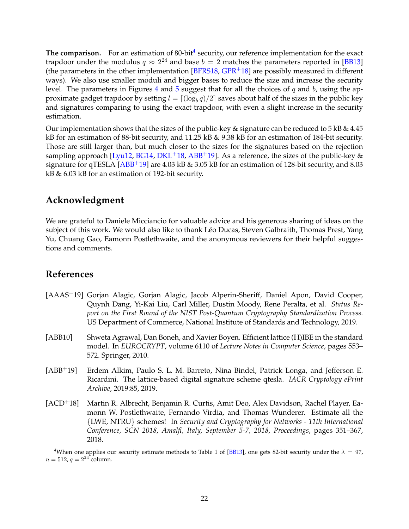**The comparison.** For an estimation of 80-bit<sup>[4](#page-23-4)</sup> security, our reference implementation for the exact trapdoor under the modulus  $q \approx 2^{24}$  and base  $b = 2$  matches the parameters reported in [\[BB13\]](#page-24-4) (the parameters in the other implementation  $[BFRS18, GPR+18]$  $[BFRS18, GPR+18]$  $[BFRS18, GPR+18]$  $[BFRS18, GPR+18]$  are possibly measured in different ways). We also use smaller moduli and bigger bases to reduce the size and increase the security level. The parameters in Figures [4](#page-21-1) and [5](#page-22-0) suggest that for all the choices of q and b, using the approximate gadget trapdoor by setting  $l = \lceil (\log_b q)/2 \rceil$  saves about half of the sizes in the public key and signatures comparing to using the exact trapdoor, with even a slight increase in the security estimation.

Our implementation shows that the sizes of the public-key & signature can be reduced to  $5$  kB &  $4.45$ kB for an estimation of 88-bit security, and 11.25 kB & 9.38 kB for an estimation of 184-bit security. Those are still larger than, but much closer to the sizes for the signatures based on the rejection sampling approach [\[Lyu12,](#page-27-3) [BG14,](#page-24-3) [DKL](#page-25-3)<sup>+</sup>18, [ABB](#page-23-2)<sup>+</sup>19]. As a reference, the sizes of the public-key  $\&$ signature for qTESLA  $[ABB+19]$  $[ABB+19]$  are 4.03 kB & 3.05 kB for an estimation of 128-bit security, and 8.03 kB & 6.03 kB for an estimation of 192-bit security.

# **Acknowledgment**

We are grateful to Daniele Micciancio for valuable advice and his generous sharing of ideas on the subject of this work. We would also like to thank Léo Ducas, Steven Galbraith, Thomas Prest, Yang Yu, Chuang Gao, Eamonn Postlethwaite, and the anonymous reviewers for their helpful suggestions and comments.

# **References**

- <span id="page-23-0"></span>[AAAS+19] Gorjan Alagic, Gorjan Alagic, Jacob Alperin-Sheriff, Daniel Apon, David Cooper, Quynh Dang, Yi-Kai Liu, Carl Miller, Dustin Moody, Rene Peralta, et al. *Status Report on the First Round of the NIST Post-Quantum Cryptography Standardization Process*. US Department of Commerce, National Institute of Standards and Technology, 2019.
- <span id="page-23-1"></span>[ABB10] Shweta Agrawal, Dan Boneh, and Xavier Boyen. Efficient lattice (H)IBE in the standard model. In *EUROCRYPT*, volume 6110 of *Lecture Notes in Computer Science*, pages 553– 572. Springer, 2010.
- <span id="page-23-2"></span>[ABB+19] Erdem Alkim, Paulo S. L. M. Barreto, Nina Bindel, Patrick Longa, and Jefferson E. Ricardini. The lattice-based digital signature scheme qtesla. *IACR Cryptology ePrint Archive*, 2019:85, 2019.
- <span id="page-23-3"></span>[ACD+18] Martin R. Albrecht, Benjamin R. Curtis, Amit Deo, Alex Davidson, Rachel Player, Eamonn W. Postlethwaite, Fernando Virdia, and Thomas Wunderer. Estimate all the {LWE, NTRU} schemes! In *Security and Cryptography for Networks - 11th International Conference, SCN 2018, Amalfi, Italy, September 5-7, 2018, Proceedings*, pages 351–367, 2018.

<span id="page-23-4"></span><sup>&</sup>lt;sup>4</sup>When one applies our security estimate methods to Table 1 of [\[BB13\]](#page-24-4), one gets 82-bit security under the  $\lambda = 97$ ,  $n = 512$ ,  $q = 2^{24}$  column.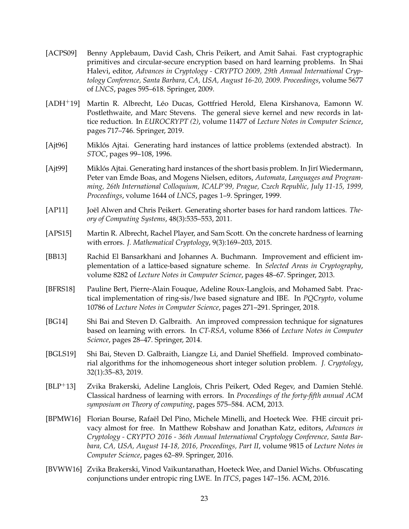- <span id="page-24-10"></span>[ACPS09] Benny Applebaum, David Cash, Chris Peikert, and Amit Sahai. Fast cryptographic primitives and circular-secure encryption based on hard learning problems. In Shai Halevi, editor, *Advances in Cryptology - CRYPTO 2009, 29th Annual International Cryptology Conference, Santa Barbara, CA, USA, August 16-20, 2009. Proceedings*, volume 5677 of *LNCS*, pages 595–618. Springer, 2009.
- <span id="page-24-12"></span>[ADH<sup>+</sup>19] Martin R. Albrecht, Léo Ducas, Gottfried Herold, Elena Kirshanova, Eamonn W. Postlethwaite, and Marc Stevens. The general sieve kernel and new records in lattice reduction. In *EUROCRYPT (2)*, volume 11477 of *Lecture Notes in Computer Science*, pages 717–746. Springer, 2019.
- <span id="page-24-0"></span>[Ajt96] Miklós Ajtai. Generating hard instances of lattice problems (extended abstract). In *STOC*, pages 99–108, 1996.
- <span id="page-24-1"></span>[Ajt99] Miklós Ajtai. Generating hard instances of the short basis problem. In Jirí Wiedermann, Peter van Emde Boas, and Mogens Nielsen, editors, *Automata, Languages and Programming, 26th International Colloquium, ICALP'99, Prague, Czech Republic, July 11-15, 1999, Proceedings*, volume 1644 of *LNCS*, pages 1–9. Springer, 1999.
- <span id="page-24-2"></span>[AP11] Joël Alwen and Chris Peikert. Generating shorter bases for hard random lattices. *Theory of Computing Systems*, 48(3):535–553, 2011.
- <span id="page-24-11"></span>[APS15] Martin R. Albrecht, Rachel Player, and Sam Scott. On the concrete hardness of learning with errors. *J. Mathematical Cryptology*, 9(3):169–203, 2015.
- <span id="page-24-4"></span>[BB13] Rachid El Bansarkhani and Johannes A. Buchmann. Improvement and efficient implementation of a lattice-based signature scheme. In *Selected Areas in Cryptography*, volume 8282 of *Lecture Notes in Computer Science*, pages 48–67. Springer, 2013.
- <span id="page-24-5"></span>[BFRS18] Pauline Bert, Pierre-Alain Fouque, Adeline Roux-Langlois, and Mohamed Sabt. Practical implementation of ring-sis/lwe based signature and IBE. In *PQCrypto*, volume 10786 of *Lecture Notes in Computer Science*, pages 271–291. Springer, 2018.
- <span id="page-24-3"></span>[BG14] Shi Bai and Steven D. Galbraith. An improved compression technique for signatures based on learning with errors. In *CT-RSA*, volume 8366 of *Lecture Notes in Computer Science*, pages 28–47. Springer, 2014.
- <span id="page-24-6"></span>[BGLS19] Shi Bai, Steven D. Galbraith, Liangze Li, and Daniel Sheffield. Improved combinatorial algorithms for the inhomogeneous short integer solution problem. *J. Cryptology*, 32(1):35–83, 2019.
- <span id="page-24-9"></span>[BLP+13] Zvika Brakerski, Adeline Langlois, Chris Peikert, Oded Regev, and Damien Stehle.´ Classical hardness of learning with errors. In *Proceedings of the forty-fifth annual ACM symposium on Theory of computing*, pages 575–584. ACM, 2013.
- <span id="page-24-7"></span>[BPMW16] Florian Bourse, Rafaël Del Pino, Michele Minelli, and Hoeteck Wee. FHE circuit privacy almost for free. In Matthew Robshaw and Jonathan Katz, editors, *Advances in Cryptology - CRYPTO 2016 - 36th Annual International Cryptology Conference, Santa Barbara, CA, USA, August 14-18, 2016, Proceedings, Part II*, volume 9815 of *Lecture Notes in Computer Science*, pages 62–89. Springer, 2016.
- <span id="page-24-8"></span>[BVWW16] Zvika Brakerski, Vinod Vaikuntanathan, Hoeteck Wee, and Daniel Wichs. Obfuscating conjunctions under entropic ring LWE. In *ITCS*, pages 147–156. ACM, 2016.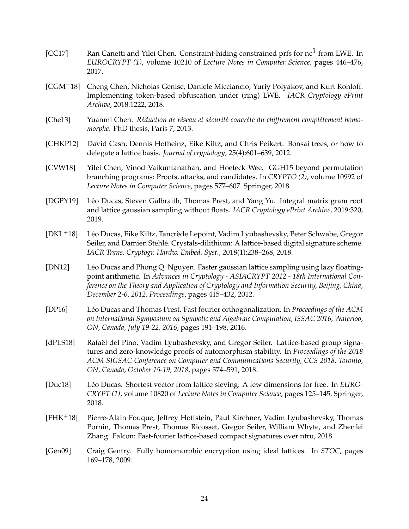- <span id="page-25-6"></span>[CC17] Ran Canetti and Yilei Chen. Constraint-hiding constrained prfs for nc<sup>1</sup> from LWE. In *EUROCRYPT (1)*, volume 10210 of *Lecture Notes in Computer Science*, pages 446–476, 2017.
- <span id="page-25-8"></span>[CGM+18] Cheng Chen, Nicholas Genise, Daniele Micciancio, Yuriy Polyakov, and Kurt Rohloff. Implementing token-based obfuscation under (ring) LWE. *IACR Cryptology ePrint Archive*, 2018:1222, 2018.
- <span id="page-25-9"></span>[Che13] Yuanmi Chen. *Réduction de réseau et sécurité concrête du chiffrement complétement homomorphe*. PhD thesis, Paris 7, 2013.
- <span id="page-25-1"></span>[CHKP12] David Cash, Dennis Hofheinz, Eike Kiltz, and Chris Peikert. Bonsai trees, or how to delegate a lattice basis. *Journal of cryptology*, 25(4):601–639, 2012.
- <span id="page-25-7"></span>[CVW18] Yilei Chen, Vinod Vaikuntanathan, and Hoeteck Wee. GGH15 beyond permutation branching programs: Proofs, attacks, and candidates. In *CRYPTO (2)*, volume 10992 of *Lecture Notes in Computer Science*, pages 577–607. Springer, 2018.
- <span id="page-25-4"></span>[DGPY19] Léo Ducas, Steven Galbraith, Thomas Prest, and Yang Yu. Integral matrix gram root and lattice gaussian sampling without floats. *IACR Cryptology ePrint Archive*, 2019:320, 2019.
- <span id="page-25-3"></span>[DKL<sup>+</sup>18] Léo Ducas, Eike Kiltz, Tancrède Lepoint, Vadim Lyubashevsky, Peter Schwabe, Gregor Seiler, and Damien Stehle. Crystals-dilithium: A lattice-based digital signature scheme. ´ *IACR Trans. Cryptogr. Hardw. Embed. Syst.*, 2018(1):238–268, 2018.
- <span id="page-25-12"></span>[DN12] Leo Ducas and Phong Q. Nguyen. Faster gaussian lattice sampling using lazy floating- ´ point arithmetic. In *Advances in Cryptology - ASIACRYPT 2012 - 18th International Conference on the Theory and Application of Cryptology and Information Security, Beijing, China, December 2-6, 2012. Proceedings*, pages 415–432, 2012.
- <span id="page-25-11"></span>[DP16] Léo Ducas and Thomas Prest. Fast fourier orthogonalization. In *Proceedings of the ACM on International Symposium on Symbolic and Algebraic Computation, ISSAC 2016, Waterloo, ON, Canada, July 19-22, 2016*, pages 191–198, 2016.
- <span id="page-25-5"></span>[dPLS18] Rafaël del Pino, Vadim Lyubashevsky, and Gregor Seiler. Lattice-based group signatures and zero-knowledge proofs of automorphism stability. In *Proceedings of the 2018 ACM SIGSAC Conference on Computer and Communications Security, CCS 2018, Toronto, ON, Canada, October 15-19, 2018*, pages 574–591, 2018.
- <span id="page-25-10"></span>[Duc18] Léo Ducas. Shortest vector from lattice sieving: A few dimensions for free. In *EURO-CRYPT (1)*, volume 10820 of *Lecture Notes in Computer Science*, pages 125–145. Springer, 2018.
- <span id="page-25-2"></span>[FHK+18] Pierre-Alain Fouque, Jeffrey Hoffstein, Paul Kirchner, Vadim Lyubashevsky, Thomas Pornin, Thomas Prest, Thomas Ricosset, Gregor Seiler, William Whyte, and Zhenfei Zhang. Falcon: Fast-fourier lattice-based compact signatures over ntru, 2018.
- <span id="page-25-0"></span>[Gen09] Craig Gentry. Fully homomorphic encryption using ideal lattices. In *STOC*, pages 169–178, 2009.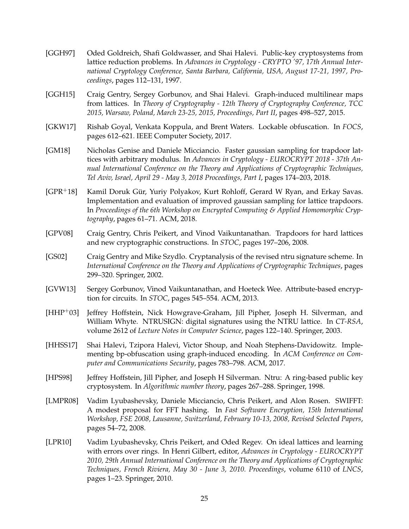- <span id="page-26-0"></span>[GGH97] Oded Goldreich, Shafi Goldwasser, and Shai Halevi. Public-key cryptosystems from lattice reduction problems. In *Advances in Cryptology - CRYPTO '97, 17th Annual International Cryptology Conference, Santa Barbara, California, USA, August 17-21, 1997, Proceedings*, pages 112–131, 1997.
- <span id="page-26-5"></span>[GGH15] Craig Gentry, Sergey Gorbunov, and Shai Halevi. Graph-induced multilinear maps from lattices. In *Theory of Cryptography - 12th Theory of Cryptography Conference, TCC 2015, Warsaw, Poland, March 23-25, 2015, Proceedings, Part II*, pages 498–527, 2015.
- <span id="page-26-9"></span>[GKW17] Rishab Goyal, Venkata Koppula, and Brent Waters. Lockable obfuscation. In *FOCS*, pages 612–621. IEEE Computer Society, 2017.
- <span id="page-26-8"></span>[GM18] Nicholas Genise and Daniele Micciancio. Faster gaussian sampling for trapdoor lattices with arbitrary modulus. In *Advances in Cryptology - EUROCRYPT 2018 - 37th Annual International Conference on the Theory and Applications of Cryptographic Techniques, Tel Aviv, Israel, April 29 - May 3, 2018 Proceedings, Part I*, pages 174–203, 2018.
- <span id="page-26-7"></span>[GPR<sup>+</sup>18] Kamil Doruk Gür, Yuriy Polyakov, Kurt Rohloff, Gerard W Ryan, and Erkay Savas. Implementation and evaluation of improved gaussian sampling for lattice trapdoors. In *Proceedings of the 6th Workshop on Encrypted Computing & Applied Homomorphic Cryptography*, pages 61–71. ACM, 2018.
- <span id="page-26-3"></span>[GPV08] Craig Gentry, Chris Peikert, and Vinod Vaikuntanathan. Trapdoors for hard lattices and new cryptographic constructions. In *STOC*, pages 197–206, 2008.
- <span id="page-26-6"></span>[GS02] Craig Gentry and Mike Szydlo. Cryptanalysis of the revised ntru signature scheme. In *International Conference on the Theory and Applications of Cryptographic Techniques*, pages 299–320. Springer, 2002.
- <span id="page-26-4"></span>[GVW13] Sergey Gorbunov, Vinod Vaikuntanathan, and Hoeteck Wee. Attribute-based encryption for circuits. In *STOC*, pages 545–554. ACM, 2013.
- <span id="page-26-2"></span>[HHP+03] Jeffrey Hoffstein, Nick Howgrave-Graham, Jill Pipher, Joseph H. Silverman, and William Whyte. NTRUSIGN: digital signatures using the NTRU lattice. In *CT-RSA*, volume 2612 of *Lecture Notes in Computer Science*, pages 122–140. Springer, 2003.
- <span id="page-26-10"></span>[HHSS17] Shai Halevi, Tzipora Halevi, Victor Shoup, and Noah Stephens-Davidowitz. Implementing bp-obfuscation using graph-induced encoding. In *ACM Conference on Computer and Communications Security*, pages 783–798. ACM, 2017.
- <span id="page-26-1"></span>[HPS98] Jeffrey Hoffstein, Jill Pipher, and Joseph H Silverman. Ntru: A ring-based public key cryptosystem. In *Algorithmic number theory*, pages 267–288. Springer, 1998.
- <span id="page-26-12"></span>[LMPR08] Vadim Lyubashevsky, Daniele Micciancio, Chris Peikert, and Alon Rosen. SWIFFT: A modest proposal for FFT hashing. In *Fast Software Encryption, 15th International Workshop, FSE 2008, Lausanne, Switzerland, February 10-13, 2008, Revised Selected Papers*, pages 54–72, 2008.
- <span id="page-26-11"></span>[LPR10] Vadim Lyubashevsky, Chris Peikert, and Oded Regev. On ideal lattices and learning with errors over rings. In Henri Gilbert, editor, *Advances in Cryptology - EUROCRYPT 2010, 29th Annual International Conference on the Theory and Applications of Cryptographic Techniques, French Riviera, May 30 - June 3, 2010. Proceedings*, volume 6110 of *LNCS*, pages 1–23. Springer, 2010.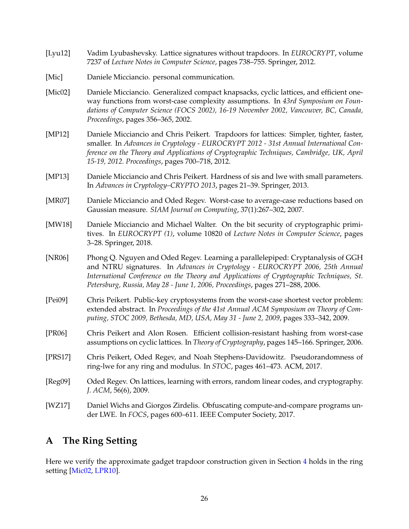- <span id="page-27-3"></span>[Lyu12] Vadim Lyubashevsky. Lattice signatures without trapdoors. In *EUROCRYPT*, volume 7237 of *Lecture Notes in Computer Science*, pages 738–755. Springer, 2012.
- <span id="page-27-8"></span>[Mic] Daniele Micciancio. personal communication.
- <span id="page-27-13"></span>[Mic02] Daniele Micciancio. Generalized compact knapsacks, cyclic lattices, and efficient oneway functions from worst-case complexity assumptions. In *43rd Symposium on Foundations of Computer Science (FOCS 2002), 16-19 November 2002, Vancouver, BC, Canada, Proceedings*, pages 356–365, 2002.
- <span id="page-27-1"></span>[MP12] Daniele Micciancio and Chris Peikert. Trapdoors for lattices: Simpler, tighter, faster, smaller. In *Advances in Cryptology - EUROCRYPT 2012 - 31st Annual International Conference on the Theory and Applications of Cryptographic Techniques, Cambridge, UK, April 15-19, 2012. Proceedings*, pages 700–718, 2012.
- <span id="page-27-4"></span>[MP13] Daniele Micciancio and Chris Peikert. Hardness of sis and lwe with small parameters. In *Advances in Cryptology–CRYPTO 2013*, pages 21–39. Springer, 2013.
- <span id="page-27-6"></span>[MR07] Daniele Micciancio and Oded Regev. Worst-case to average-case reductions based on Gaussian measure. *SIAM Journal on Computing*, 37(1):267–302, 2007.
- <span id="page-27-9"></span>[MW18] Daniele Micciancio and Michael Walter. On the bit security of cryptographic primitives. In *EUROCRYPT (1)*, volume 10820 of *Lecture Notes in Computer Science*, pages 3–28. Springer, 2018.
- <span id="page-27-2"></span>[NR06] Phong Q. Nguyen and Oded Regev. Learning a parallelepiped: Cryptanalysis of GGH and NTRU signatures. In *Advances in Cryptology - EUROCRYPT 2006, 25th Annual International Conference on the Theory and Applications of Cryptographic Techniques, St. Petersburg, Russia, May 28 - June 1, 2006, Proceedings*, pages 271–288, 2006.
- <span id="page-27-11"></span>[Pei09] Chris Peikert. Public-key cryptosystems from the worst-case shortest vector problem: extended abstract. In *Proceedings of the 41st Annual ACM Symposium on Theory of Computing, STOC 2009, Bethesda, MD, USA, May 31 - June 2, 2009*, pages 333–342, 2009.
- <span id="page-27-7"></span>[PR06] Chris Peikert and Alon Rosen. Efficient collision-resistant hashing from worst-case assumptions on cyclic lattices. In *Theory of Cryptography*, pages 145–166. Springer, 2006.
- <span id="page-27-12"></span>[PRS17] Chris Peikert, Oded Regev, and Noah Stephens-Davidowitz. Pseudorandomness of ring-lwe for any ring and modulus. In *STOC*, pages 461–473. ACM, 2017.
- <span id="page-27-10"></span>[Reg09] Oded Regev. On lattices, learning with errors, random linear codes, and cryptography. *J. ACM*, 56(6), 2009.
- <span id="page-27-5"></span>[WZ17] Daniel Wichs and Giorgos Zirdelis. Obfuscating compute-and-compare programs under LWE. In *FOCS*, pages 600–611. IEEE Computer Society, 2017.

# <span id="page-27-0"></span>**A The Ring Setting**

Here we verify the approximate gadget trapdoor construction given in Section [4](#page-14-0) holds in the ring setting [\[Mic02,](#page-27-13) [LPR10\]](#page-26-11).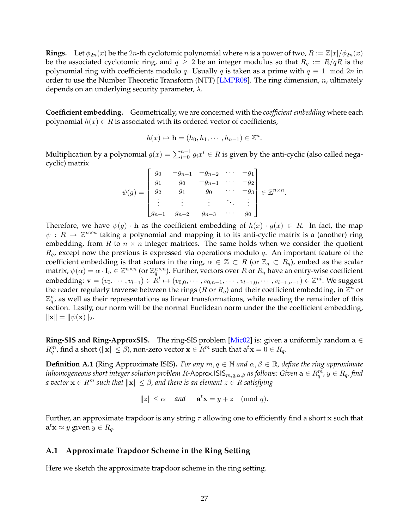**Rings.** Let  $\phi_{2n}(x)$  be the 2n-th cyclotomic polynomial where n is a power of two,  $R := \mathbb{Z}[x]/\phi_{2n}(x)$ be the associated cyclotomic ring, and  $q \geq 2$  be an integer modulus so that  $R_q := R/qR$  is the polynomial ring with coefficients modulo q. Usually q is taken as a prime with  $q \equiv 1 \mod 2n$  in order to use the Number Theoretic Transform (NTT) [\[LMPR08\]](#page-26-12). The ring dimension,  $n$ , ultimately depends on an underlying security parameter,  $\lambda$ .

**Coefficient embedding.** Geometrically, we are concerned with the *coefficient embedding* where each polynomial  $h(x) \in R$  is associated with its ordered vector of coefficients,

$$
h(x) \mapsto \mathbf{h} = (h_0, h_1, \cdots, h_{n-1}) \in \mathbb{Z}^n.
$$

Multiplication by a polynomial  $g(x) = \sum_{i=0}^{n-1} g_i x^i \in R$  is given by the anti-cyclic (also called negacyclic) matrix

$$
\psi(g) = \begin{bmatrix} g_0 & -g_{n-1} & -g_{n-2} & \cdots & -g_1 \\ g_1 & g_0 & -g_{n-1} & \cdots & -g_2 \\ g_2 & g_1 & g_0 & \cdots & -g_3 \\ \vdots & \vdots & \vdots & \ddots & \vdots \\ g_{n-1} & g_{n-2} & g_{n-3} & \cdots & g_0 \end{bmatrix} \in \mathbb{Z}^{n \times n}.
$$

Therefore, we have  $\psi(g) \cdot \mathbf{h}$  as the coefficient embedding of  $h(x) \cdot g(x) \in R$ . In fact, the map  $\psi: R \to \mathbb{Z}^{n \times n}$  taking a polynomial and mapping it to its anti-cyclic matrix is a (another) ring embedding, from R to  $n \times n$  integer matrices. The same holds when we consider the quotient  $R_q$ , except now the previous is expressed via operations modulo q. An important feature of the coefficient embedding is that scalars in the ring,  $\alpha \in \mathbb{Z} \subset R$  (or  $\mathbb{Z}_q \subset R_q$ ), embed as the scalar matrix,  $\psi(\alpha) = \alpha \cdot I_n \in \mathbb{Z}^{n \times n}$  (or  $\mathbb{Z}_q^{n \times n}$ ). Further, vectors over R or  $R_q$  have an entry-wise coefficient embedding:  $\mathbf{v}=(v_0,\cdots,v_{l-1})\in R^l\mapsto (v_{0,0},\cdots,v_{0,n-1},\cdots,v_{l-1,0},\cdots,v_{l-1,n-1})\in\mathbb{Z}^{nl}.$  We suggest the reader regularly traverse between the rings ( $R$  or  $R_q$ ) and their coefficient embedding, in  $\overline{\mathbb{Z}^n}$  or  $\mathbb{Z}_q^n$ , as well as their representations as linear transformations, while reading the remainder of this section. Lastly, our norm will be the normal Euclidean norm under the the coefficient embedding,  $\|\mathbf{x}\| = \|\psi(\mathbf{x})\|_2.$ 

**Ring-SIS and Ring-ApproxSIS.** The ring-SIS problem [\[Mic02\]](#page-27-13) is: given a uniformly random  $a \in$  $R_q^m$ , find a short ( $\|\mathbf{x}\| \leq \beta$ ), non-zero vector  $\mathbf{x} \in R^m$  such that  $\mathbf{a}^t\mathbf{x} = 0 \in R_q.$ 

**Definition A.1** (Ring Approximate ISIS). *For any*  $m, q \in \mathbb{N}$  and  $\alpha, \beta \in \mathbb{R}$ , define the ring approximate  $i$ nhomogeneous short integer solution problem  $R$ -Approx.ISIS $_{m,q,\alpha,\beta}$  as follows: Given  $\mathbf{a}\in R^m_q$  ,  $y\in R_q$ , find *a vector*  $\mathbf{x} \in R^m$  *such that*  $\|\mathbf{x}\| \leq \beta$ , and there is an element  $z \in R$  *satisfying* 

$$
||z|| \le \alpha \quad \text{and} \quad \mathbf{a}^t \mathbf{x} = y + z \pmod{q}.
$$

Further, an approximate trapdoor is any string  $\tau$  allowing one to efficiently find a short x such that  $\mathbf{a}^t \mathbf{x} \approx y$  given  $y \in R_q$ .

#### <span id="page-28-0"></span>**A.1 Approximate Trapdoor Scheme in the Ring Setting**

Here we sketch the approximate trapdoor scheme in the ring setting.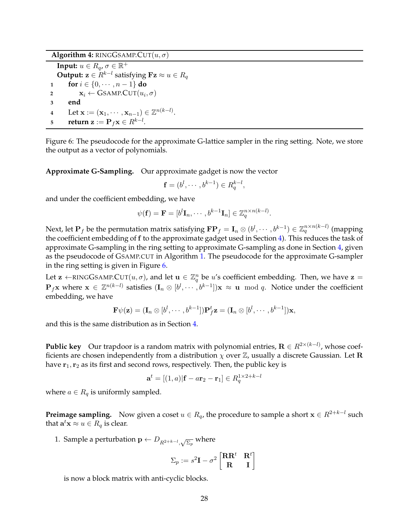**Algorithm 4:** RINGGSAMP.CUT $(u, \sigma)$ 

**Input:**  $u \in R_q$ ,  $\sigma \in \mathbb{R}^+$ **Output:**  $\mathbf{z} \in R^{k-l}$  satisfying  $\mathbf{Fz} \approx u \in R_q$ **1 for**  $i \in \{0, \dots, n-1\}$  **do 2**  $\mathbf{x}_i \leftarrow \text{GSAMP}.\text{CUT}(u_i, \sigma)$ **3 end 4** Let  $\mathbf{x} := (\mathbf{x}_1, \cdots, \mathbf{x}_{n-1}) \in \mathbb{Z}^{n(k-l)}.$  $\mathbf{r} = \mathbf{r} \mathbf{v} = \mathbf{r}_f \mathbf{x} \in R^{k-l}.$ 

<span id="page-29-0"></span>Figure 6: The pseudocode for the approximate G-lattice sampler in the ring setting. Note, we store the output as a vector of polynomials.

**Approximate G-Sampling.** Our approximate gadget is now the vector

$$
\mathbf{f} = (b^l, \cdots, b^{k-1}) \in R_q^{k-l},
$$

and under the coefficient embedding, we have

$$
\psi(\mathbf{f}) = \mathbf{F} = [b^l \mathbf{I}_n, \cdots, b^{k-1} \mathbf{I}_n] \in \mathbb{Z}_q^{n \times n(k-l)}.
$$

Next, let  $\mathbf{P}_f$  be the permutation matrix satisfying  $\mathbf{FP}_f=\mathbf{I}_n\otimes (b^l,\cdots,b^{k-1})\in\mathbb{Z}_q^{n\times n(k-l)}$  (mapping the coefficient embedding of f to the approximate gadget used in Section [4\)](#page-14-0). This reduces the task of approximate G-sampling in the ring setting to approximate G-sampling as done in Section [4,](#page-14-0) given as the pseudocode of GSAMP.CUT in Algorithm [1.](#page-16-3) The pseudocode for the approximate G-sampler in the ring setting is given in Figure [6.](#page-29-0)

Let  $\mathbf{z} \leftarrow \text{RINGGSAMP.CUT}(u, \sigma)$ , and let  $\mathbf{u} \in \mathbb{Z}_q^n$  be u's coefficient embedding. Then, we have  $\mathbf{z} =$  ${\bf P}_f{\bf x}$  where  ${\bf x}\,\in\,\mathbb{Z}^{n(k-l)}$  satisfies  $({\bf I}_n\otimes [b^l,\cdots,b^{k-1}]){\bf x}\,\approx\,{\bf u}\mod q.$  Notice under the coefficient embedding, we have

$$
\mathbf{F}\psi(\mathbf{z})=(\mathbf{I}_n\otimes [b^l,\cdots,b^{k-1}])\mathbf{P}^t_f\mathbf{z}=(\mathbf{I}_n\otimes [b^l,\cdots,b^{k-1}])\mathbf{x},
$$

and this is the same distribution as in Section [4.](#page-14-0)

**Public key** Our trapdoor is a random matrix with polynomial entries,  $\mathbf{R} \in R^{2 \times (k-l)}$ , whose coefficients are chosen independently from a distribution  $\chi$  over  $\mathbb Z$ , usually a discrete Gaussian. Let **R** have  $r_1, r_2$  as its first and second rows, respectively. Then, the public key is

$$
\mathbf{a}^t = [(1,a)|\mathbf{f} - a\mathbf{r}_2 - \mathbf{r}_1] \in R_q^{1 \times 2 + k - l}
$$

where  $a \in R_q$  is uniformly sampled.

**Preimage sampling.** Now given a coset  $u \in R_q$ , the procedure to sample a short  $\mathbf{x} \in R^{2+k-l}$  such that  $\mathbf{a}^t \mathbf{x} \approx u \in R_q$  is clear.

1. Sample a perturbation  $\mathbf{p} \leftarrow D_{R^{2+k-l},\sqrt{\Sigma_p}}$  where

$$
\Sigma_p:=s^2\mathbf{I}-\sigma^2\begin{bmatrix} \mathbf{R}\mathbf{R}^t & \mathbf{R}^t \\ \mathbf{R} & \mathbf{I} \end{bmatrix}
$$

is now a block matrix with anti-cyclic blocks.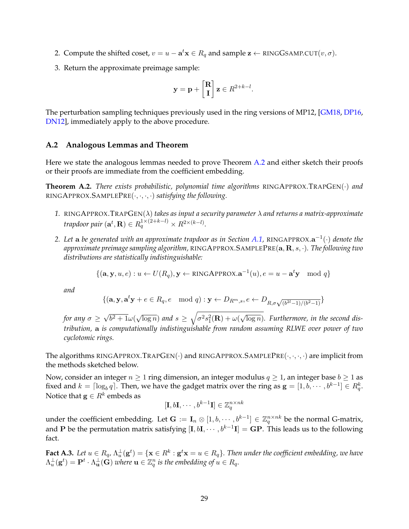- 2. Compute the shifted coset,  $v = u \mathbf{a}^t \mathbf{x} \in R_q$  and sample  $\mathbf{z} \leftarrow \text{RINGGSAMP.CUT}(v, \sigma)$ .
- 3. Return the approximate preimage sample:

$$
\mathbf{y} = \mathbf{p} + \begin{bmatrix} \mathbf{R} \\ \mathbf{I} \end{bmatrix} \mathbf{z} \in R^{2+k-l}.
$$

The perturbation sampling techniques previously used in the ring versions of MP12, [\[GM18,](#page-26-8) [DP16,](#page-25-11) [DN12\]](#page-25-12), immediately apply to the above procedure.

### <span id="page-30-0"></span>**A.2 Analogous Lemmas and Theorem**

Here we state the analogous lemmas needed to prove Theorem [A.2](#page-30-1) and either sketch their proofs or their proofs are immediate from the coefficient embedding.

<span id="page-30-1"></span>**Theorem A.2.** *There exists probabilistic, polynomial time algorithms* RINGAPPROX.TRAPGEN(·) *and* RINGAPPROX.SAMPLEPRE(·, ·, ·, ·) *satisfying the following.*

- *1.* RINGAPPROX.TRAPGEN(λ) *takes as input a security parameter* λ *and returns a matrix-approximate* trapdoor pair  $(\mathbf{a}^t, \mathbf{R}) \in R_q^{1 \times (2+k-l)} \times R^{2 \times (k-l)}.$
- *2. Let* a *be generated with an approximate trapdoor as in Section [A.1,](#page-28-0)* RINGAPPROX.a −1 (·) *denote the approximate preimage sampling algorithm,* RINGAPPROX.SAMPLEPRE(a, R, s, ·)*. The following two distributions are statistically indistinguishable:*

$$
\{(\mathbf{a}, \mathbf{y}, u, e) : u \leftarrow U(R_q), \mathbf{y} \leftarrow \text{RINGAPPROX}.\mathbf{a}^{-1}(u), e = u - \mathbf{a}^t \mathbf{y} \mod q\}
$$

*and*

$$
\{(\mathbf{a}, \mathbf{y}, \mathbf{a}^t \mathbf{y} + e \in R_q, e \mod q) : \mathbf{y} \leftarrow D_{R^m, s}, e \leftarrow D_{R, \sigma \sqrt{(b^{2l}-1)/(b^2-1)}}\}
$$

*for any*  $\sigma \geq$ √  $\sqrt{b^2+1}\omega(\sqrt{c})$  $\overline{\log n})$  and  $s \, \ge \, \sqrt{\sigma^2 s_1^2({\bf R}) + \omega(1)}$ √ log n)*. Furthermore, in the second distribution,* a *is computationally indistinguishable from random assuming RLWE over power of two cyclotomic rings.*

The algorithms RINGAPPROX.TRAPGEN $(\cdot)$  and RINGAPPROX.SAMPLEPRE $(\cdot, \cdot, \cdot, \cdot)$  are implicit from the methods sketched below.

Now, consider an integer  $n \geq 1$  ring dimension, an integer modulus  $q \geq 1$ , an integer base  $b \geq 1$  as fixed and  $k = \lceil \log_b q \rceil$ . Then, we have the gadget matrix over the ring as  $\mathbf{g} = [1, b, \dots, b^{k-1}] \in R_q^k$ . Notice that  $\mathbf{g} \in R^k$  embeds as

$$
[\mathbf{I}, b\mathbf{I}, \cdots, b^{k-1}\mathbf{I}] \in \mathbb{Z}_q^{n \times nk}
$$

under the coefficient embedding. Let  $\mathbf{G} := \mathbf{I}_n \otimes [1, b, \cdots, b^{k-1}] \in \mathbb{Z}_q^{n \times nk}$  be the normal G-matrix, and P be the permutation matrix satisfying  $[\text{I}, b\text{I}, \cdots, b^{k-1}\text{I}] = \text{GP}$ . This leads us to the following fact.

<span id="page-30-2"></span> ${\bf Fact~A.3.}$  Let  $u\in R_q$ ,  $\Lambda^{\perp}_u({\bf g}^t)=\{{\bf x}\in R^k:{\bf g}^t{\bf x}=u\in R_q\}.$  Then under the coefficient embedding, we have  $\Lambda_u^\perp(\mathbf{g}^t)=\mathbf{P}^t\cdot\Lambda_\mathbf{u}^\perp(\mathbf{G})$  where  $\mathbf{u}\in\mathbb{Z}_q^n$  is the embedding of  $u\in R_q.$